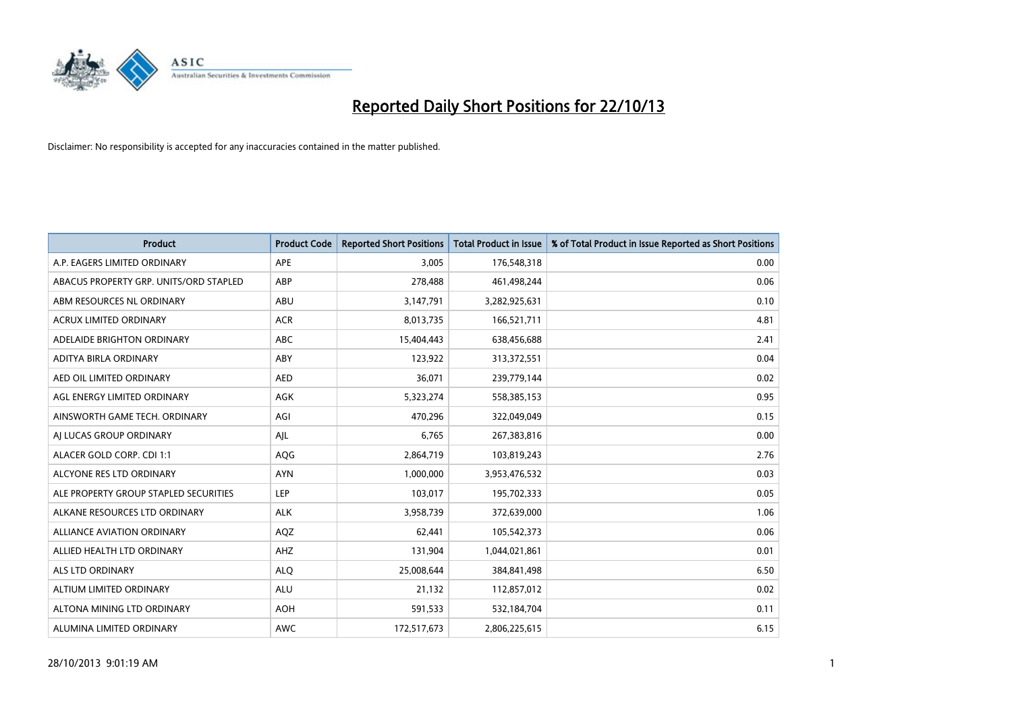

| <b>Product</b>                         | <b>Product Code</b> | <b>Reported Short Positions</b> | <b>Total Product in Issue</b> | % of Total Product in Issue Reported as Short Positions |
|----------------------------------------|---------------------|---------------------------------|-------------------------------|---------------------------------------------------------|
| A.P. EAGERS LIMITED ORDINARY           | APE                 | 3,005                           | 176,548,318                   | 0.00                                                    |
| ABACUS PROPERTY GRP. UNITS/ORD STAPLED | ABP                 | 278,488                         | 461,498,244                   | 0.06                                                    |
| ABM RESOURCES NL ORDINARY              | ABU                 | 3,147,791                       | 3,282,925,631                 | 0.10                                                    |
| <b>ACRUX LIMITED ORDINARY</b>          | <b>ACR</b>          | 8,013,735                       | 166,521,711                   | 4.81                                                    |
| ADELAIDE BRIGHTON ORDINARY             | <b>ABC</b>          | 15,404,443                      | 638,456,688                   | 2.41                                                    |
| ADITYA BIRLA ORDINARY                  | ABY                 | 123,922                         | 313,372,551                   | 0.04                                                    |
| AED OIL LIMITED ORDINARY               | <b>AED</b>          | 36,071                          | 239,779,144                   | 0.02                                                    |
| AGL ENERGY LIMITED ORDINARY            | AGK                 | 5,323,274                       | 558,385,153                   | 0.95                                                    |
| AINSWORTH GAME TECH. ORDINARY          | AGI                 | 470,296                         | 322,049,049                   | 0.15                                                    |
| AI LUCAS GROUP ORDINARY                | AJL                 | 6,765                           | 267,383,816                   | 0.00                                                    |
| ALACER GOLD CORP. CDI 1:1              | AQG                 | 2,864,719                       | 103,819,243                   | 2.76                                                    |
| ALCYONE RES LTD ORDINARY               | <b>AYN</b>          | 1,000,000                       | 3,953,476,532                 | 0.03                                                    |
| ALE PROPERTY GROUP STAPLED SECURITIES  | <b>LEP</b>          | 103,017                         | 195,702,333                   | 0.05                                                    |
| ALKANE RESOURCES LTD ORDINARY          | <b>ALK</b>          | 3,958,739                       | 372,639,000                   | 1.06                                                    |
| <b>ALLIANCE AVIATION ORDINARY</b>      | AQZ                 | 62,441                          | 105,542,373                   | 0.06                                                    |
| ALLIED HEALTH LTD ORDINARY             | AHZ                 | 131,904                         | 1,044,021,861                 | 0.01                                                    |
| ALS LTD ORDINARY                       | <b>ALQ</b>          | 25,008,644                      | 384,841,498                   | 6.50                                                    |
| ALTIUM LIMITED ORDINARY                | <b>ALU</b>          | 21,132                          | 112,857,012                   | 0.02                                                    |
| ALTONA MINING LTD ORDINARY             | <b>AOH</b>          | 591,533                         | 532,184,704                   | 0.11                                                    |
| ALUMINA LIMITED ORDINARY               | <b>AWC</b>          | 172,517,673                     | 2,806,225,615                 | 6.15                                                    |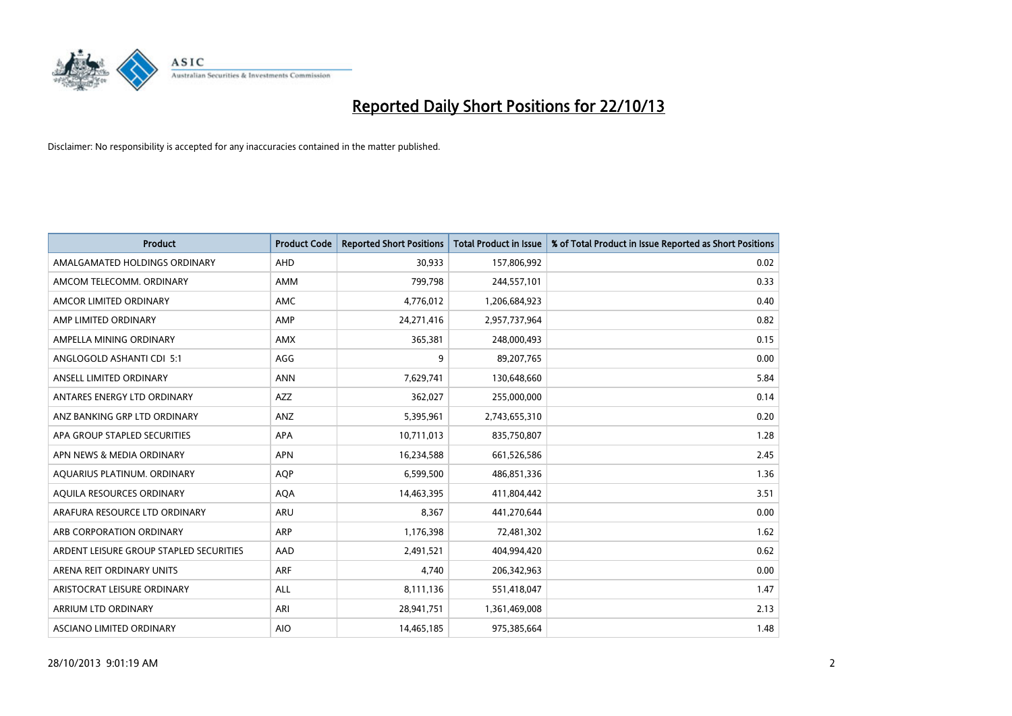

| <b>Product</b>                          | <b>Product Code</b> | <b>Reported Short Positions</b> | <b>Total Product in Issue</b> | % of Total Product in Issue Reported as Short Positions |
|-----------------------------------------|---------------------|---------------------------------|-------------------------------|---------------------------------------------------------|
| AMALGAMATED HOLDINGS ORDINARY           | <b>AHD</b>          | 30,933                          | 157,806,992                   | 0.02                                                    |
| AMCOM TELECOMM, ORDINARY                | AMM                 | 799,798                         | 244,557,101                   | 0.33                                                    |
| AMCOR LIMITED ORDINARY                  | AMC                 | 4,776,012                       | 1,206,684,923                 | 0.40                                                    |
| AMP LIMITED ORDINARY                    | AMP                 | 24,271,416                      | 2,957,737,964                 | 0.82                                                    |
| AMPELLA MINING ORDINARY                 | <b>AMX</b>          | 365,381                         | 248,000,493                   | 0.15                                                    |
| ANGLOGOLD ASHANTI CDI 5:1               | AGG                 | 9                               | 89,207,765                    | 0.00                                                    |
| ANSELL LIMITED ORDINARY                 | <b>ANN</b>          | 7,629,741                       | 130,648,660                   | 5.84                                                    |
| ANTARES ENERGY LTD ORDINARY             | <b>AZZ</b>          | 362,027                         | 255,000,000                   | 0.14                                                    |
| ANZ BANKING GRP LTD ORDINARY            | ANZ                 | 5,395,961                       | 2,743,655,310                 | 0.20                                                    |
| APA GROUP STAPLED SECURITIES            | <b>APA</b>          | 10,711,013                      | 835,750,807                   | 1.28                                                    |
| APN NEWS & MEDIA ORDINARY               | <b>APN</b>          | 16,234,588                      | 661,526,586                   | 2.45                                                    |
| AQUARIUS PLATINUM. ORDINARY             | <b>AOP</b>          | 6,599,500                       | 486,851,336                   | 1.36                                                    |
| AQUILA RESOURCES ORDINARY               | <b>AQA</b>          | 14,463,395                      | 411,804,442                   | 3.51                                                    |
| ARAFURA RESOURCE LTD ORDINARY           | ARU                 | 8,367                           | 441,270,644                   | 0.00                                                    |
| ARB CORPORATION ORDINARY                | ARP                 | 1,176,398                       | 72,481,302                    | 1.62                                                    |
| ARDENT LEISURE GROUP STAPLED SECURITIES | AAD                 | 2,491,521                       | 404,994,420                   | 0.62                                                    |
| ARENA REIT ORDINARY UNITS               | ARF                 | 4,740                           | 206,342,963                   | 0.00                                                    |
| ARISTOCRAT LEISURE ORDINARY             | <b>ALL</b>          | 8,111,136                       | 551,418,047                   | 1.47                                                    |
| ARRIUM LTD ORDINARY                     | ARI                 | 28,941,751                      | 1,361,469,008                 | 2.13                                                    |
| ASCIANO LIMITED ORDINARY                | <b>AIO</b>          | 14,465,185                      | 975,385,664                   | 1.48                                                    |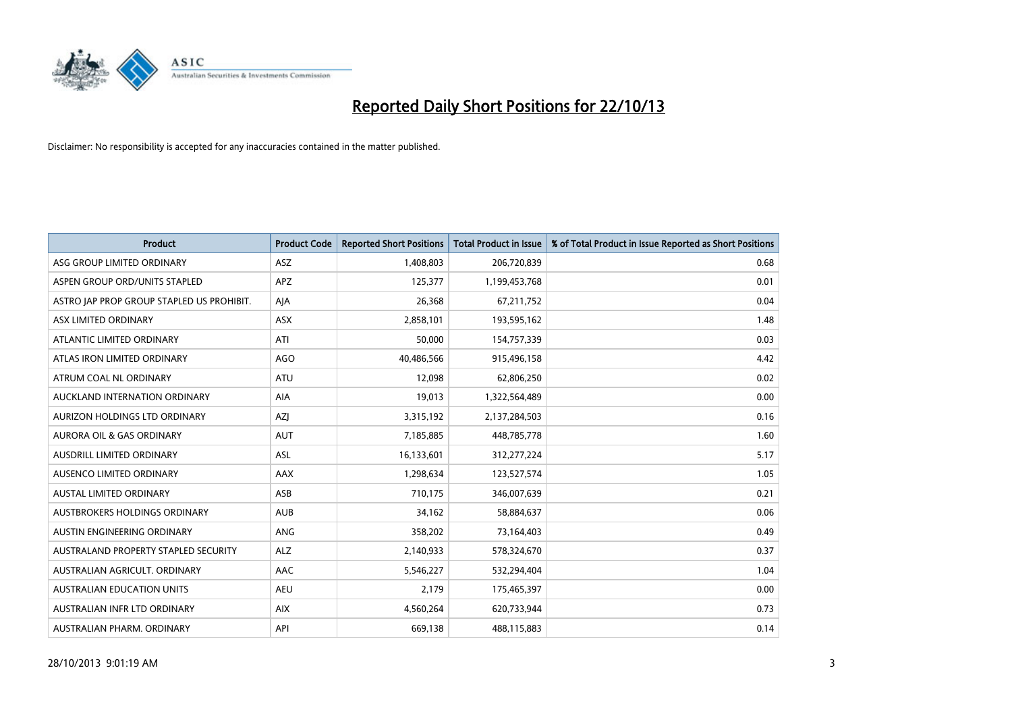

| <b>Product</b>                            | <b>Product Code</b> | <b>Reported Short Positions</b> | <b>Total Product in Issue</b> | % of Total Product in Issue Reported as Short Positions |
|-------------------------------------------|---------------------|---------------------------------|-------------------------------|---------------------------------------------------------|
| ASG GROUP LIMITED ORDINARY                | <b>ASZ</b>          | 1,408,803                       | 206,720,839                   | 0.68                                                    |
| ASPEN GROUP ORD/UNITS STAPLED             | APZ                 | 125,377                         | 1,199,453,768                 | 0.01                                                    |
| ASTRO JAP PROP GROUP STAPLED US PROHIBIT. | AJA                 | 26,368                          | 67,211,752                    | 0.04                                                    |
| ASX LIMITED ORDINARY                      | ASX                 | 2,858,101                       | 193,595,162                   | 1.48                                                    |
| ATLANTIC LIMITED ORDINARY                 | ATI                 | 50,000                          | 154,757,339                   | 0.03                                                    |
| ATLAS IRON LIMITED ORDINARY               | <b>AGO</b>          | 40,486,566                      | 915,496,158                   | 4.42                                                    |
| ATRUM COAL NL ORDINARY                    | <b>ATU</b>          | 12,098                          | 62,806,250                    | 0.02                                                    |
| AUCKLAND INTERNATION ORDINARY             | AIA                 | 19,013                          | 1,322,564,489                 | 0.00                                                    |
| AURIZON HOLDINGS LTD ORDINARY             | AZJ                 | 3,315,192                       | 2,137,284,503                 | 0.16                                                    |
| <b>AURORA OIL &amp; GAS ORDINARY</b>      | <b>AUT</b>          | 7,185,885                       | 448,785,778                   | 1.60                                                    |
| AUSDRILL LIMITED ORDINARY                 | ASL                 | 16,133,601                      | 312,277,224                   | 5.17                                                    |
| AUSENCO LIMITED ORDINARY                  | AAX                 | 1,298,634                       | 123,527,574                   | 1.05                                                    |
| AUSTAL LIMITED ORDINARY                   | ASB                 | 710,175                         | 346,007,639                   | 0.21                                                    |
| AUSTBROKERS HOLDINGS ORDINARY             | <b>AUB</b>          | 34,162                          | 58,884,637                    | 0.06                                                    |
| AUSTIN ENGINEERING ORDINARY               | ANG                 | 358,202                         | 73,164,403                    | 0.49                                                    |
| AUSTRALAND PROPERTY STAPLED SECURITY      | <b>ALZ</b>          | 2,140,933                       | 578,324,670                   | 0.37                                                    |
| AUSTRALIAN AGRICULT. ORDINARY             | AAC                 | 5,546,227                       | 532,294,404                   | 1.04                                                    |
| <b>AUSTRALIAN EDUCATION UNITS</b>         | <b>AEU</b>          | 2,179                           | 175,465,397                   | 0.00                                                    |
| AUSTRALIAN INFR LTD ORDINARY              | <b>AIX</b>          | 4,560,264                       | 620,733,944                   | 0.73                                                    |
| AUSTRALIAN PHARM. ORDINARY                | API                 | 669,138                         | 488,115,883                   | 0.14                                                    |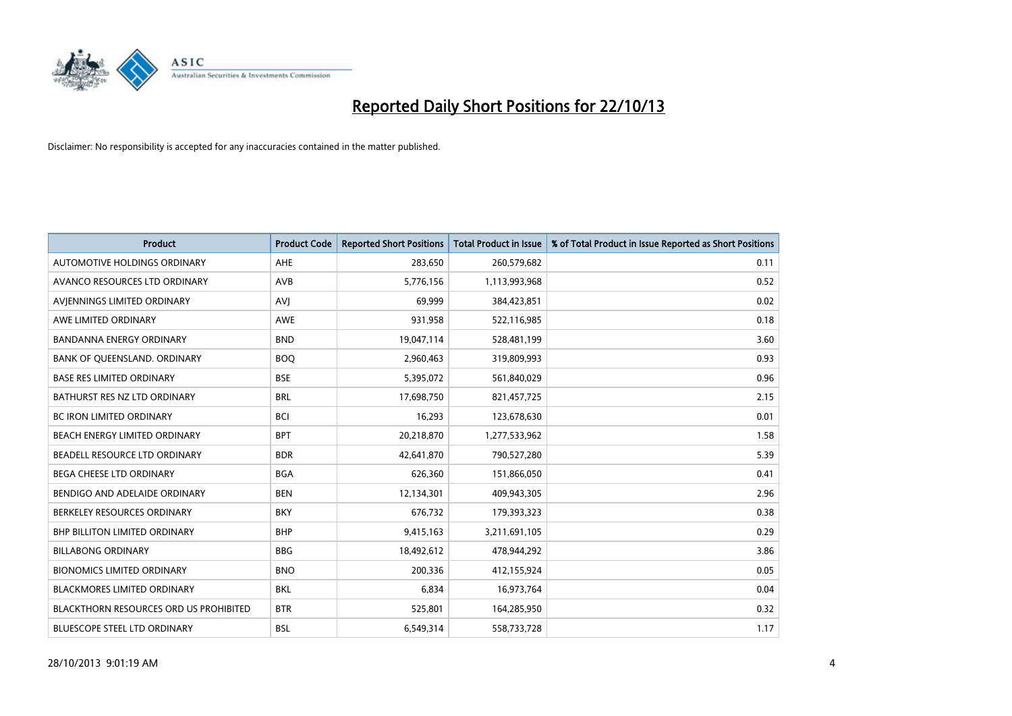

| <b>Product</b>                                | <b>Product Code</b> | <b>Reported Short Positions</b> | <b>Total Product in Issue</b> | % of Total Product in Issue Reported as Short Positions |
|-----------------------------------------------|---------------------|---------------------------------|-------------------------------|---------------------------------------------------------|
| AUTOMOTIVE HOLDINGS ORDINARY                  | AHE                 | 283,650                         | 260,579,682                   | 0.11                                                    |
| AVANCO RESOURCES LTD ORDINARY                 | AVB                 | 5,776,156                       | 1,113,993,968                 | 0.52                                                    |
| AVIENNINGS LIMITED ORDINARY                   | <b>AVI</b>          | 69,999                          | 384,423,851                   | 0.02                                                    |
| AWE LIMITED ORDINARY                          | AWE                 | 931,958                         | 522,116,985                   | 0.18                                                    |
| <b>BANDANNA ENERGY ORDINARY</b>               | <b>BND</b>          | 19,047,114                      | 528,481,199                   | 3.60                                                    |
| BANK OF QUEENSLAND. ORDINARY                  | <b>BOQ</b>          | 2,960,463                       | 319,809,993                   | 0.93                                                    |
| <b>BASE RES LIMITED ORDINARY</b>              | <b>BSE</b>          | 5,395,072                       | 561,840,029                   | 0.96                                                    |
| BATHURST RES NZ LTD ORDINARY                  | <b>BRL</b>          | 17,698,750                      | 821,457,725                   | 2.15                                                    |
| <b>BC IRON LIMITED ORDINARY</b>               | <b>BCI</b>          | 16,293                          | 123,678,630                   | 0.01                                                    |
| BEACH ENERGY LIMITED ORDINARY                 | <b>BPT</b>          | 20,218,870                      | 1,277,533,962                 | 1.58                                                    |
| BEADELL RESOURCE LTD ORDINARY                 | <b>BDR</b>          | 42,641,870                      | 790,527,280                   | 5.39                                                    |
| BEGA CHEESE LTD ORDINARY                      | <b>BGA</b>          | 626,360                         | 151,866,050                   | 0.41                                                    |
| BENDIGO AND ADELAIDE ORDINARY                 | <b>BEN</b>          | 12,134,301                      | 409,943,305                   | 2.96                                                    |
| BERKELEY RESOURCES ORDINARY                   | <b>BKY</b>          | 676,732                         | 179,393,323                   | 0.38                                                    |
| <b>BHP BILLITON LIMITED ORDINARY</b>          | <b>BHP</b>          | 9,415,163                       | 3,211,691,105                 | 0.29                                                    |
| <b>BILLABONG ORDINARY</b>                     | <b>BBG</b>          | 18,492,612                      | 478,944,292                   | 3.86                                                    |
| <b>BIONOMICS LIMITED ORDINARY</b>             | <b>BNO</b>          | 200,336                         | 412,155,924                   | 0.05                                                    |
| <b>BLACKMORES LIMITED ORDINARY</b>            | <b>BKL</b>          | 6,834                           | 16,973,764                    | 0.04                                                    |
| <b>BLACKTHORN RESOURCES ORD US PROHIBITED</b> | <b>BTR</b>          | 525,801                         | 164,285,950                   | 0.32                                                    |
| <b>BLUESCOPE STEEL LTD ORDINARY</b>           | <b>BSL</b>          | 6,549,314                       | 558,733,728                   | 1.17                                                    |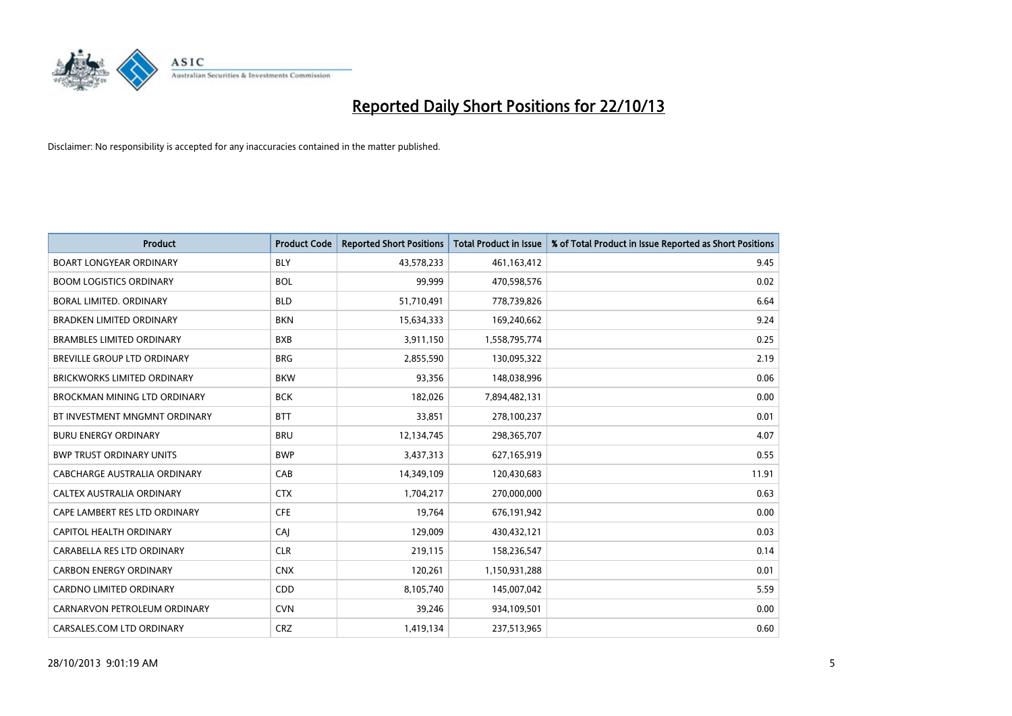

| <b>Product</b>                     | <b>Product Code</b> | <b>Reported Short Positions</b> | <b>Total Product in Issue</b> | % of Total Product in Issue Reported as Short Positions |
|------------------------------------|---------------------|---------------------------------|-------------------------------|---------------------------------------------------------|
| <b>BOART LONGYEAR ORDINARY</b>     | <b>BLY</b>          | 43,578,233                      | 461,163,412                   | 9.45                                                    |
| <b>BOOM LOGISTICS ORDINARY</b>     | <b>BOL</b>          | 99,999                          | 470,598,576                   | 0.02                                                    |
| BORAL LIMITED, ORDINARY            | <b>BLD</b>          | 51,710,491                      | 778,739,826                   | 6.64                                                    |
| <b>BRADKEN LIMITED ORDINARY</b>    | <b>BKN</b>          | 15,634,333                      | 169,240,662                   | 9.24                                                    |
| <b>BRAMBLES LIMITED ORDINARY</b>   | <b>BXB</b>          | 3,911,150                       | 1,558,795,774                 | 0.25                                                    |
| <b>BREVILLE GROUP LTD ORDINARY</b> | <b>BRG</b>          | 2,855,590                       | 130,095,322                   | 2.19                                                    |
| <b>BRICKWORKS LIMITED ORDINARY</b> | <b>BKW</b>          | 93,356                          | 148,038,996                   | 0.06                                                    |
| BROCKMAN MINING LTD ORDINARY       | <b>BCK</b>          | 182,026                         | 7,894,482,131                 | 0.00                                                    |
| BT INVESTMENT MNGMNT ORDINARY      | <b>BTT</b>          | 33,851                          | 278,100,237                   | 0.01                                                    |
| <b>BURU ENERGY ORDINARY</b>        | <b>BRU</b>          | 12,134,745                      | 298,365,707                   | 4.07                                                    |
| <b>BWP TRUST ORDINARY UNITS</b>    | <b>BWP</b>          | 3,437,313                       | 627,165,919                   | 0.55                                                    |
| CABCHARGE AUSTRALIA ORDINARY       | CAB                 | 14,349,109                      | 120,430,683                   | 11.91                                                   |
| CALTEX AUSTRALIA ORDINARY          | <b>CTX</b>          | 1,704,217                       | 270,000,000                   | 0.63                                                    |
| CAPE LAMBERT RES LTD ORDINARY      | <b>CFE</b>          | 19,764                          | 676,191,942                   | 0.00                                                    |
| <b>CAPITOL HEALTH ORDINARY</b>     | CAJ                 | 129,009                         | 430,432,121                   | 0.03                                                    |
| CARABELLA RES LTD ORDINARY         | <b>CLR</b>          | 219,115                         | 158,236,547                   | 0.14                                                    |
| <b>CARBON ENERGY ORDINARY</b>      | <b>CNX</b>          | 120,261                         | 1,150,931,288                 | 0.01                                                    |
| <b>CARDNO LIMITED ORDINARY</b>     | CDD                 | 8,105,740                       | 145,007,042                   | 5.59                                                    |
| CARNARVON PETROLEUM ORDINARY       | <b>CVN</b>          | 39,246                          | 934,109,501                   | 0.00                                                    |
| CARSALES.COM LTD ORDINARY          | <b>CRZ</b>          | 1,419,134                       | 237,513,965                   | 0.60                                                    |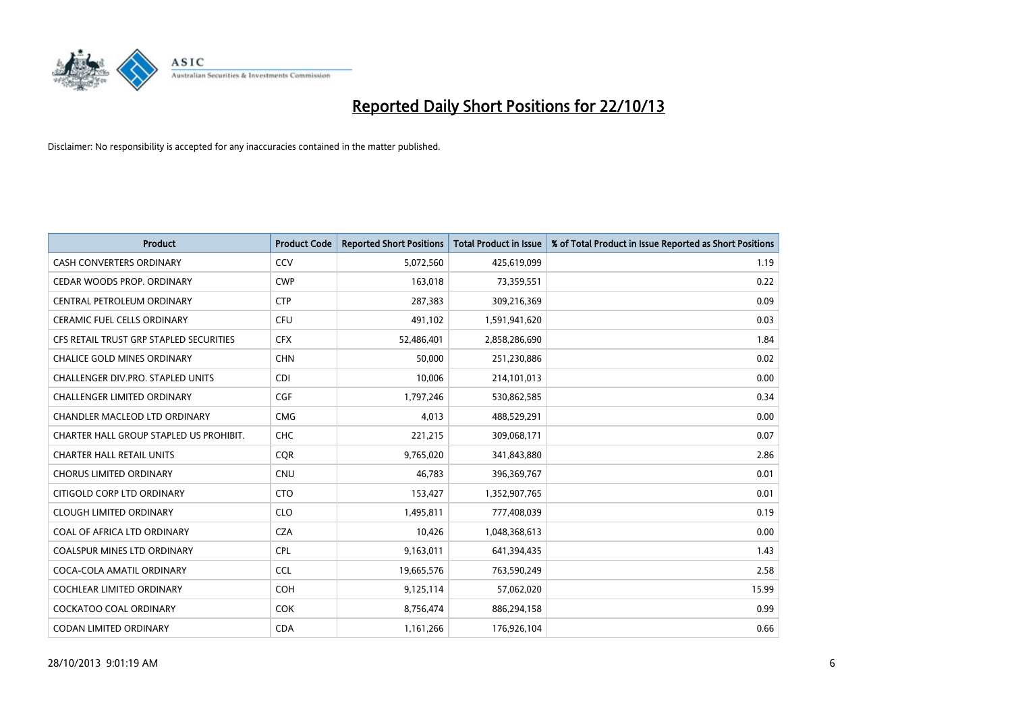

| <b>Product</b>                          | <b>Product Code</b> | <b>Reported Short Positions</b> | <b>Total Product in Issue</b> | % of Total Product in Issue Reported as Short Positions |
|-----------------------------------------|---------------------|---------------------------------|-------------------------------|---------------------------------------------------------|
| <b>CASH CONVERTERS ORDINARY</b>         | CCV                 | 5,072,560                       | 425,619,099                   | 1.19                                                    |
| CEDAR WOODS PROP. ORDINARY              | <b>CWP</b>          | 163,018                         | 73,359,551                    | 0.22                                                    |
| CENTRAL PETROLEUM ORDINARY              | <b>CTP</b>          | 287,383                         | 309,216,369                   | 0.09                                                    |
| CERAMIC FUEL CELLS ORDINARY             | <b>CFU</b>          | 491,102                         | 1,591,941,620                 | 0.03                                                    |
| CFS RETAIL TRUST GRP STAPLED SECURITIES | <b>CFX</b>          | 52,486,401                      | 2,858,286,690                 | 1.84                                                    |
| <b>CHALICE GOLD MINES ORDINARY</b>      | <b>CHN</b>          | 50,000                          | 251,230,886                   | 0.02                                                    |
| CHALLENGER DIV.PRO. STAPLED UNITS       | <b>CDI</b>          | 10,006                          | 214,101,013                   | 0.00                                                    |
| CHALLENGER LIMITED ORDINARY             | <b>CGF</b>          | 1,797,246                       | 530,862,585                   | 0.34                                                    |
| CHANDLER MACLEOD LTD ORDINARY           | <b>CMG</b>          | 4,013                           | 488,529,291                   | 0.00                                                    |
| CHARTER HALL GROUP STAPLED US PROHIBIT. | <b>CHC</b>          | 221,215                         | 309,068,171                   | 0.07                                                    |
| <b>CHARTER HALL RETAIL UNITS</b>        | <b>CQR</b>          | 9,765,020                       | 341,843,880                   | 2.86                                                    |
| <b>CHORUS LIMITED ORDINARY</b>          | <b>CNU</b>          | 46,783                          | 396,369,767                   | 0.01                                                    |
| CITIGOLD CORP LTD ORDINARY              | <b>CTO</b>          | 153,427                         | 1,352,907,765                 | 0.01                                                    |
| <b>CLOUGH LIMITED ORDINARY</b>          | <b>CLO</b>          | 1,495,811                       | 777,408,039                   | 0.19                                                    |
| COAL OF AFRICA LTD ORDINARY             | <b>CZA</b>          | 10,426                          | 1,048,368,613                 | 0.00                                                    |
| COALSPUR MINES LTD ORDINARY             | <b>CPL</b>          | 9,163,011                       | 641,394,435                   | 1.43                                                    |
| COCA-COLA AMATIL ORDINARY               | <b>CCL</b>          | 19,665,576                      | 763,590,249                   | 2.58                                                    |
| COCHLEAR LIMITED ORDINARY               | <b>COH</b>          | 9,125,114                       | 57,062,020                    | 15.99                                                   |
| <b>COCKATOO COAL ORDINARY</b>           | <b>COK</b>          | 8,756,474                       | 886,294,158                   | 0.99                                                    |
| CODAN LIMITED ORDINARY                  | <b>CDA</b>          | 1,161,266                       | 176,926,104                   | 0.66                                                    |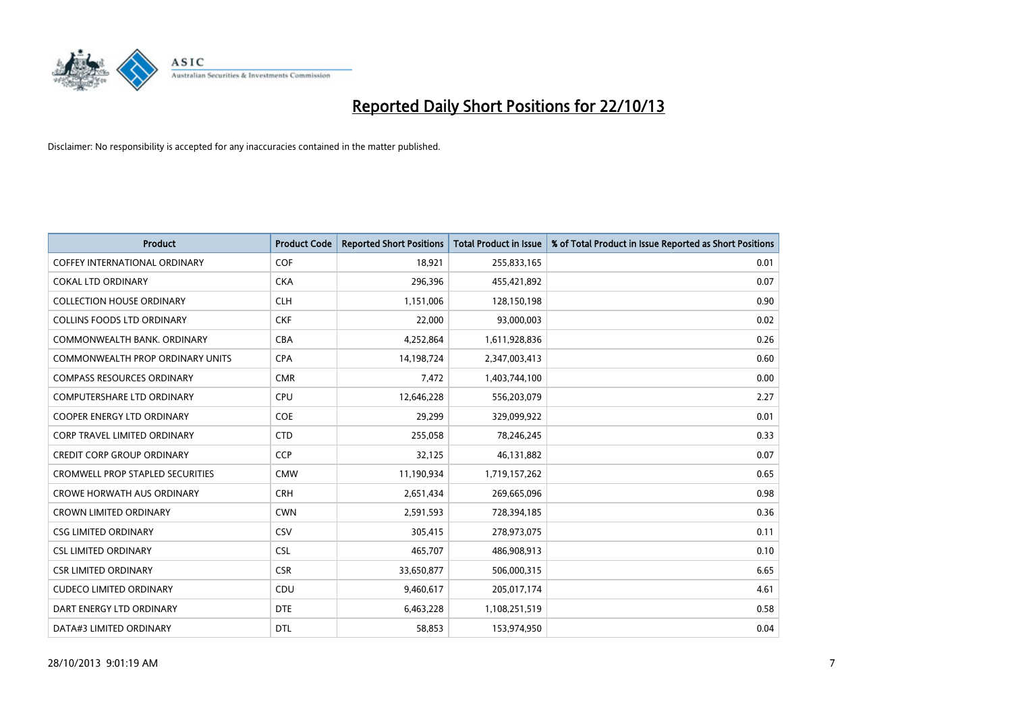

| <b>Product</b>                          | <b>Product Code</b> | <b>Reported Short Positions</b> | <b>Total Product in Issue</b> | % of Total Product in Issue Reported as Short Positions |
|-----------------------------------------|---------------------|---------------------------------|-------------------------------|---------------------------------------------------------|
| <b>COFFEY INTERNATIONAL ORDINARY</b>    | <b>COF</b>          | 18,921                          | 255,833,165                   | 0.01                                                    |
| <b>COKAL LTD ORDINARY</b>               | <b>CKA</b>          | 296,396                         | 455,421,892                   | 0.07                                                    |
| <b>COLLECTION HOUSE ORDINARY</b>        | <b>CLH</b>          | 1,151,006                       | 128,150,198                   | 0.90                                                    |
| <b>COLLINS FOODS LTD ORDINARY</b>       | <b>CKF</b>          | 22,000                          | 93,000,003                    | 0.02                                                    |
| COMMONWEALTH BANK, ORDINARY             | <b>CBA</b>          | 4,252,864                       | 1,611,928,836                 | 0.26                                                    |
| COMMONWEALTH PROP ORDINARY UNITS        | <b>CPA</b>          | 14,198,724                      | 2,347,003,413                 | 0.60                                                    |
| <b>COMPASS RESOURCES ORDINARY</b>       | <b>CMR</b>          | 7,472                           | 1,403,744,100                 | 0.00                                                    |
| <b>COMPUTERSHARE LTD ORDINARY</b>       | <b>CPU</b>          | 12,646,228                      | 556,203,079                   | 2.27                                                    |
| COOPER ENERGY LTD ORDINARY              | <b>COE</b>          | 29,299                          | 329,099,922                   | 0.01                                                    |
| CORP TRAVEL LIMITED ORDINARY            | <b>CTD</b>          | 255,058                         | 78,246,245                    | 0.33                                                    |
| <b>CREDIT CORP GROUP ORDINARY</b>       | <b>CCP</b>          | 32,125                          | 46,131,882                    | 0.07                                                    |
| <b>CROMWELL PROP STAPLED SECURITIES</b> | <b>CMW</b>          | 11,190,934                      | 1,719,157,262                 | 0.65                                                    |
| <b>CROWE HORWATH AUS ORDINARY</b>       | <b>CRH</b>          | 2,651,434                       | 269,665,096                   | 0.98                                                    |
| <b>CROWN LIMITED ORDINARY</b>           | <b>CWN</b>          | 2,591,593                       | 728,394,185                   | 0.36                                                    |
| <b>CSG LIMITED ORDINARY</b>             | CSV                 | 305,415                         | 278,973,075                   | 0.11                                                    |
| <b>CSL LIMITED ORDINARY</b>             | <b>CSL</b>          | 465,707                         | 486,908,913                   | 0.10                                                    |
| <b>CSR LIMITED ORDINARY</b>             | <b>CSR</b>          | 33,650,877                      | 506,000,315                   | 6.65                                                    |
| <b>CUDECO LIMITED ORDINARY</b>          | <b>CDU</b>          | 9,460,617                       | 205,017,174                   | 4.61                                                    |
| DART ENERGY LTD ORDINARY                | <b>DTE</b>          | 6,463,228                       | 1,108,251,519                 | 0.58                                                    |
| DATA#3 LIMITED ORDINARY                 | <b>DTL</b>          | 58,853                          | 153,974,950                   | 0.04                                                    |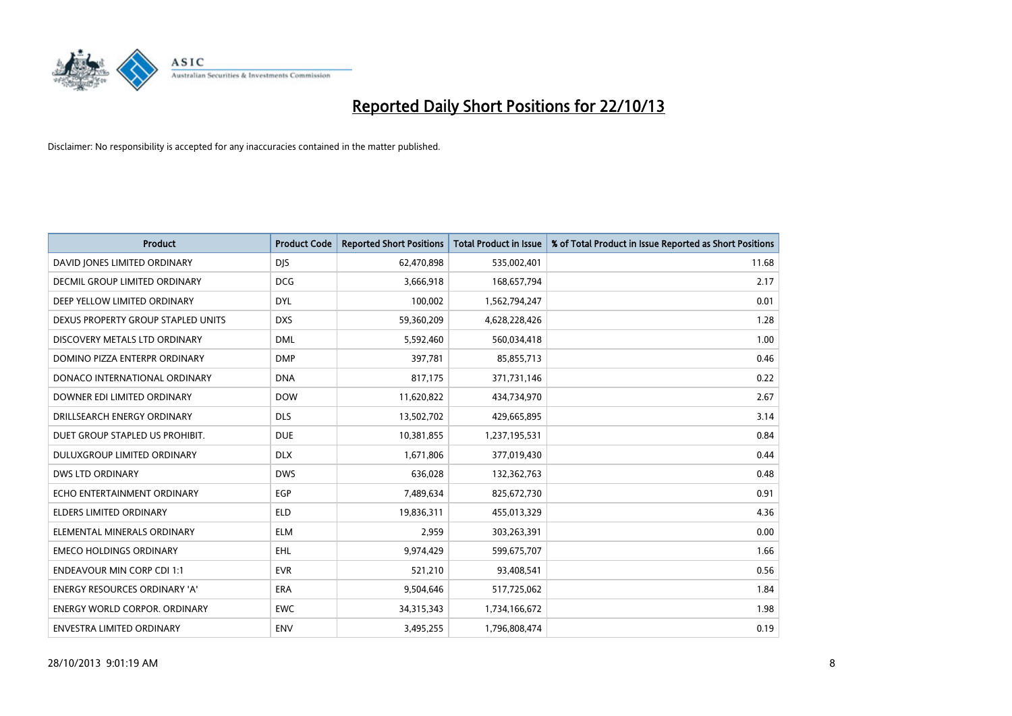

| <b>Product</b>                       | <b>Product Code</b> | <b>Reported Short Positions</b> | <b>Total Product in Issue</b> | % of Total Product in Issue Reported as Short Positions |
|--------------------------------------|---------------------|---------------------------------|-------------------------------|---------------------------------------------------------|
| DAVID JONES LIMITED ORDINARY         | <b>DJS</b>          | 62,470,898                      | 535,002,401                   | 11.68                                                   |
| <b>DECMIL GROUP LIMITED ORDINARY</b> | <b>DCG</b>          | 3,666,918                       | 168,657,794                   | 2.17                                                    |
| DEEP YELLOW LIMITED ORDINARY         | <b>DYL</b>          | 100,002                         | 1,562,794,247                 | 0.01                                                    |
| DEXUS PROPERTY GROUP STAPLED UNITS   | <b>DXS</b>          | 59,360,209                      | 4,628,228,426                 | 1.28                                                    |
| DISCOVERY METALS LTD ORDINARY        | <b>DML</b>          | 5,592,460                       | 560,034,418                   | 1.00                                                    |
| DOMINO PIZZA ENTERPR ORDINARY        | <b>DMP</b>          | 397,781                         | 85,855,713                    | 0.46                                                    |
| DONACO INTERNATIONAL ORDINARY        | <b>DNA</b>          | 817,175                         | 371,731,146                   | 0.22                                                    |
| DOWNER EDI LIMITED ORDINARY          | <b>DOW</b>          | 11,620,822                      | 434,734,970                   | 2.67                                                    |
| DRILLSEARCH ENERGY ORDINARY          | <b>DLS</b>          | 13,502,702                      | 429,665,895                   | 3.14                                                    |
| DUET GROUP STAPLED US PROHIBIT.      | <b>DUE</b>          | 10,381,855                      | 1,237,195,531                 | 0.84                                                    |
| DULUXGROUP LIMITED ORDINARY          | <b>DLX</b>          | 1,671,806                       | 377,019,430                   | 0.44                                                    |
| <b>DWS LTD ORDINARY</b>              | <b>DWS</b>          | 636,028                         | 132,362,763                   | 0.48                                                    |
| ECHO ENTERTAINMENT ORDINARY          | EGP                 | 7,489,634                       | 825,672,730                   | 0.91                                                    |
| <b>ELDERS LIMITED ORDINARY</b>       | <b>ELD</b>          | 19,836,311                      | 455,013,329                   | 4.36                                                    |
| ELEMENTAL MINERALS ORDINARY          | <b>ELM</b>          | 2,959                           | 303,263,391                   | 0.00                                                    |
| <b>EMECO HOLDINGS ORDINARY</b>       | EHL                 | 9,974,429                       | 599,675,707                   | 1.66                                                    |
| <b>ENDEAVOUR MIN CORP CDI 1:1</b>    | <b>EVR</b>          | 521,210                         | 93,408,541                    | 0.56                                                    |
| <b>ENERGY RESOURCES ORDINARY 'A'</b> | <b>ERA</b>          | 9,504,646                       | 517,725,062                   | 1.84                                                    |
| <b>ENERGY WORLD CORPOR, ORDINARY</b> | <b>EWC</b>          | 34,315,343                      | 1,734,166,672                 | 1.98                                                    |
| ENVESTRA LIMITED ORDINARY            | <b>ENV</b>          | 3,495,255                       | 1,796,808,474                 | 0.19                                                    |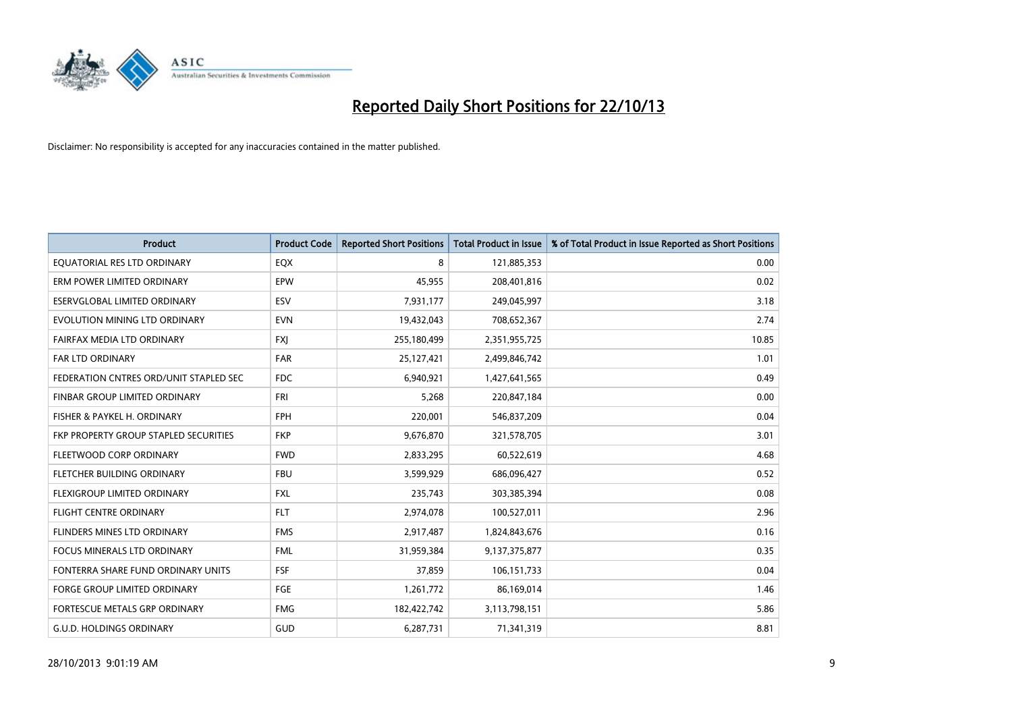

| <b>Product</b>                         | <b>Product Code</b> | <b>Reported Short Positions</b> | <b>Total Product in Issue</b> | % of Total Product in Issue Reported as Short Positions |
|----------------------------------------|---------------------|---------------------------------|-------------------------------|---------------------------------------------------------|
| EQUATORIAL RES LTD ORDINARY            | EQX                 | 8                               | 121,885,353                   | 0.00                                                    |
| ERM POWER LIMITED ORDINARY             | <b>EPW</b>          | 45,955                          | 208,401,816                   | 0.02                                                    |
| ESERVGLOBAL LIMITED ORDINARY           | ESV                 | 7,931,177                       | 249,045,997                   | 3.18                                                    |
| EVOLUTION MINING LTD ORDINARY          | <b>EVN</b>          | 19,432,043                      | 708,652,367                   | 2.74                                                    |
| FAIRFAX MEDIA LTD ORDINARY             | <b>FXI</b>          | 255,180,499                     | 2,351,955,725                 | 10.85                                                   |
| <b>FAR LTD ORDINARY</b>                | <b>FAR</b>          | 25,127,421                      | 2,499,846,742                 | 1.01                                                    |
| FEDERATION CNTRES ORD/UNIT STAPLED SEC | FDC                 | 6,940,921                       | 1,427,641,565                 | 0.49                                                    |
| FINBAR GROUP LIMITED ORDINARY          | <b>FRI</b>          | 5,268                           | 220,847,184                   | 0.00                                                    |
| FISHER & PAYKEL H. ORDINARY            | <b>FPH</b>          | 220,001                         | 546,837,209                   | 0.04                                                    |
| FKP PROPERTY GROUP STAPLED SECURITIES  | <b>FKP</b>          | 9,676,870                       | 321,578,705                   | 3.01                                                    |
| FLEETWOOD CORP ORDINARY                | <b>FWD</b>          | 2,833,295                       | 60,522,619                    | 4.68                                                    |
| FLETCHER BUILDING ORDINARY             | <b>FBU</b>          | 3,599,929                       | 686,096,427                   | 0.52                                                    |
| FLEXIGROUP LIMITED ORDINARY            | <b>FXL</b>          | 235,743                         | 303,385,394                   | 0.08                                                    |
| <b>FLIGHT CENTRE ORDINARY</b>          | <b>FLT</b>          | 2,974,078                       | 100,527,011                   | 2.96                                                    |
| FLINDERS MINES LTD ORDINARY            | <b>FMS</b>          | 2,917,487                       | 1,824,843,676                 | 0.16                                                    |
| FOCUS MINERALS LTD ORDINARY            | <b>FML</b>          | 31,959,384                      | 9,137,375,877                 | 0.35                                                    |
| FONTERRA SHARE FUND ORDINARY UNITS     | <b>FSF</b>          | 37,859                          | 106,151,733                   | 0.04                                                    |
| FORGE GROUP LIMITED ORDINARY           | FGE                 | 1,261,772                       | 86,169,014                    | 1.46                                                    |
| FORTESCUE METALS GRP ORDINARY          | <b>FMG</b>          | 182,422,742                     | 3,113,798,151                 | 5.86                                                    |
| <b>G.U.D. HOLDINGS ORDINARY</b>        | GUD                 | 6,287,731                       | 71,341,319                    | 8.81                                                    |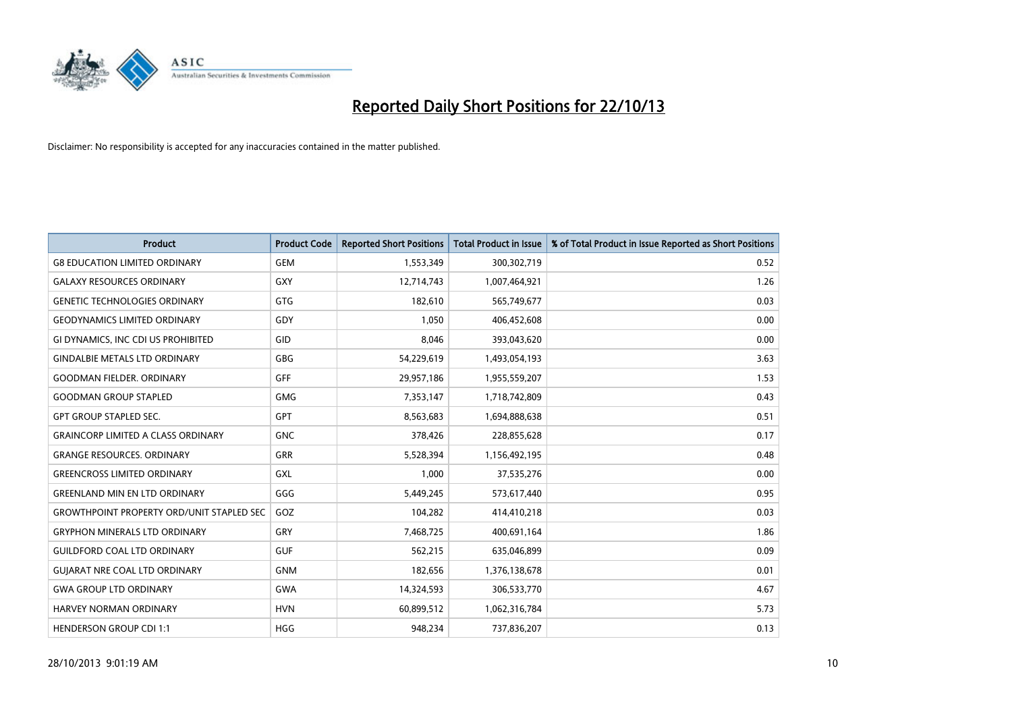

| <b>Product</b>                                   | <b>Product Code</b> | <b>Reported Short Positions</b> | <b>Total Product in Issue</b> | % of Total Product in Issue Reported as Short Positions |
|--------------------------------------------------|---------------------|---------------------------------|-------------------------------|---------------------------------------------------------|
| <b>G8 EDUCATION LIMITED ORDINARY</b>             | <b>GEM</b>          | 1,553,349                       | 300,302,719                   | 0.52                                                    |
| <b>GALAXY RESOURCES ORDINARY</b>                 | <b>GXY</b>          | 12,714,743                      | 1,007,464,921                 | 1.26                                                    |
| <b>GENETIC TECHNOLOGIES ORDINARY</b>             | GTG                 | 182,610                         | 565,749,677                   | 0.03                                                    |
| <b>GEODYNAMICS LIMITED ORDINARY</b>              | GDY                 | 1,050                           | 406,452,608                   | 0.00                                                    |
| GI DYNAMICS, INC CDI US PROHIBITED               | GID                 | 8,046                           | 393,043,620                   | 0.00                                                    |
| <b>GINDALBIE METALS LTD ORDINARY</b>             | GBG                 | 54,229,619                      | 1,493,054,193                 | 3.63                                                    |
| <b>GOODMAN FIELDER. ORDINARY</b>                 | <b>GFF</b>          | 29,957,186                      | 1,955,559,207                 | 1.53                                                    |
| <b>GOODMAN GROUP STAPLED</b>                     | GMG                 | 7,353,147                       | 1,718,742,809                 | 0.43                                                    |
| <b>GPT GROUP STAPLED SEC.</b>                    | <b>GPT</b>          | 8,563,683                       | 1,694,888,638                 | 0.51                                                    |
| <b>GRAINCORP LIMITED A CLASS ORDINARY</b>        | <b>GNC</b>          | 378,426                         | 228,855,628                   | 0.17                                                    |
| <b>GRANGE RESOURCES. ORDINARY</b>                | GRR                 | 5,528,394                       | 1,156,492,195                 | 0.48                                                    |
| <b>GREENCROSS LIMITED ORDINARY</b>               | GXL                 | 1,000                           | 37,535,276                    | 0.00                                                    |
| <b>GREENLAND MIN EN LTD ORDINARY</b>             | GGG                 | 5,449,245                       | 573,617,440                   | 0.95                                                    |
| <b>GROWTHPOINT PROPERTY ORD/UNIT STAPLED SEC</b> | GOZ                 | 104,282                         | 414,410,218                   | 0.03                                                    |
| <b>GRYPHON MINERALS LTD ORDINARY</b>             | GRY                 | 7,468,725                       | 400,691,164                   | 1.86                                                    |
| <b>GUILDFORD COAL LTD ORDINARY</b>               | <b>GUF</b>          | 562,215                         | 635,046,899                   | 0.09                                                    |
| <b>GUIARAT NRE COAL LTD ORDINARY</b>             | <b>GNM</b>          | 182,656                         | 1,376,138,678                 | 0.01                                                    |
| <b>GWA GROUP LTD ORDINARY</b>                    | <b>GWA</b>          | 14,324,593                      | 306,533,770                   | 4.67                                                    |
| <b>HARVEY NORMAN ORDINARY</b>                    | <b>HVN</b>          | 60,899,512                      | 1,062,316,784                 | 5.73                                                    |
| <b>HENDERSON GROUP CDI 1:1</b>                   | <b>HGG</b>          | 948,234                         | 737,836,207                   | 0.13                                                    |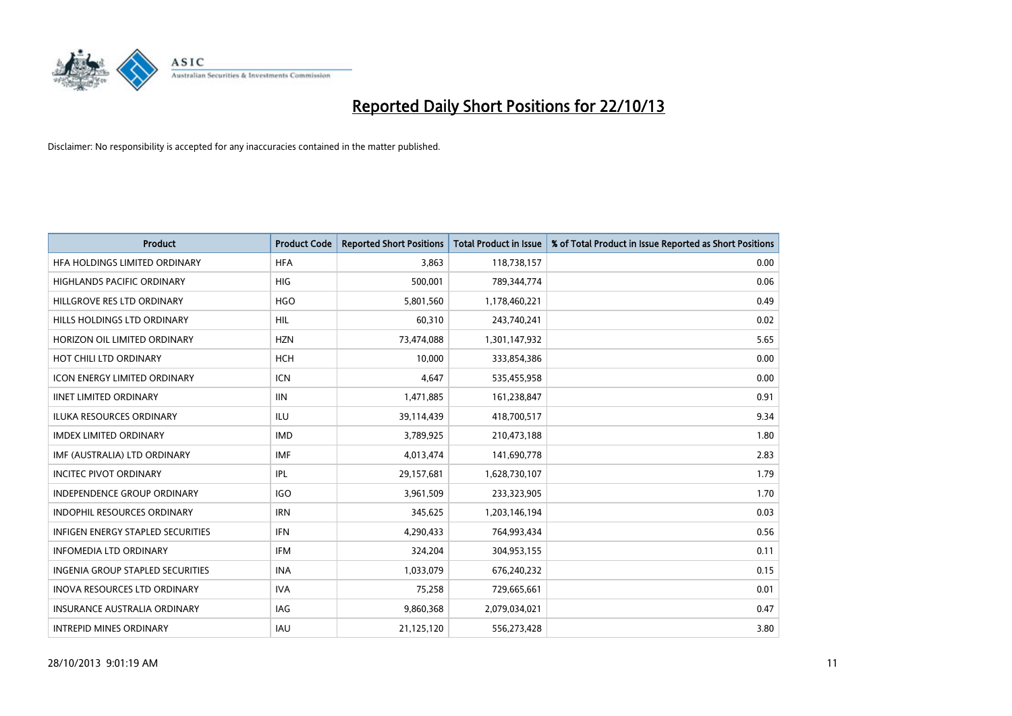

| Product                                  | <b>Product Code</b> | <b>Reported Short Positions</b> | <b>Total Product in Issue</b> | % of Total Product in Issue Reported as Short Positions |
|------------------------------------------|---------------------|---------------------------------|-------------------------------|---------------------------------------------------------|
| HFA HOLDINGS LIMITED ORDINARY            | <b>HFA</b>          | 3.863                           | 118,738,157                   | 0.00                                                    |
| HIGHLANDS PACIFIC ORDINARY               | <b>HIG</b>          | 500,001                         | 789,344,774                   | 0.06                                                    |
| HILLGROVE RES LTD ORDINARY               | <b>HGO</b>          | 5,801,560                       | 1,178,460,221                 | 0.49                                                    |
| HILLS HOLDINGS LTD ORDINARY              | <b>HIL</b>          | 60,310                          | 243,740,241                   | 0.02                                                    |
| HORIZON OIL LIMITED ORDINARY             | <b>HZN</b>          | 73,474,088                      | 1,301,147,932                 | 5.65                                                    |
| HOT CHILI LTD ORDINARY                   | <b>HCH</b>          | 10,000                          | 333,854,386                   | 0.00                                                    |
| <b>ICON ENERGY LIMITED ORDINARY</b>      | <b>ICN</b>          | 4,647                           | 535,455,958                   | 0.00                                                    |
| <b>IINET LIMITED ORDINARY</b>            | <b>IIN</b>          | 1,471,885                       | 161,238,847                   | 0.91                                                    |
| <b>ILUKA RESOURCES ORDINARY</b>          | <b>ILU</b>          | 39,114,439                      | 418,700,517                   | 9.34                                                    |
| <b>IMDEX LIMITED ORDINARY</b>            | <b>IMD</b>          | 3,789,925                       | 210,473,188                   | 1.80                                                    |
| IMF (AUSTRALIA) LTD ORDINARY             | <b>IMF</b>          | 4,013,474                       | 141,690,778                   | 2.83                                                    |
| <b>INCITEC PIVOT ORDINARY</b>            | IPL                 | 29,157,681                      | 1,628,730,107                 | 1.79                                                    |
| INDEPENDENCE GROUP ORDINARY              | <b>IGO</b>          | 3,961,509                       | 233,323,905                   | 1.70                                                    |
| <b>INDOPHIL RESOURCES ORDINARY</b>       | <b>IRN</b>          | 345,625                         | 1,203,146,194                 | 0.03                                                    |
| <b>INFIGEN ENERGY STAPLED SECURITIES</b> | <b>IFN</b>          | 4,290,433                       | 764,993,434                   | 0.56                                                    |
| <b>INFOMEDIA LTD ORDINARY</b>            | IFM                 | 324,204                         | 304,953,155                   | 0.11                                                    |
| <b>INGENIA GROUP STAPLED SECURITIES</b>  | <b>INA</b>          | 1,033,079                       | 676,240,232                   | 0.15                                                    |
| INOVA RESOURCES LTD ORDINARY             | <b>IVA</b>          | 75,258                          | 729,665,661                   | 0.01                                                    |
| <b>INSURANCE AUSTRALIA ORDINARY</b>      | <b>IAG</b>          | 9,860,368                       | 2,079,034,021                 | 0.47                                                    |
| <b>INTREPID MINES ORDINARY</b>           | IAU                 | 21,125,120                      | 556,273,428                   | 3.80                                                    |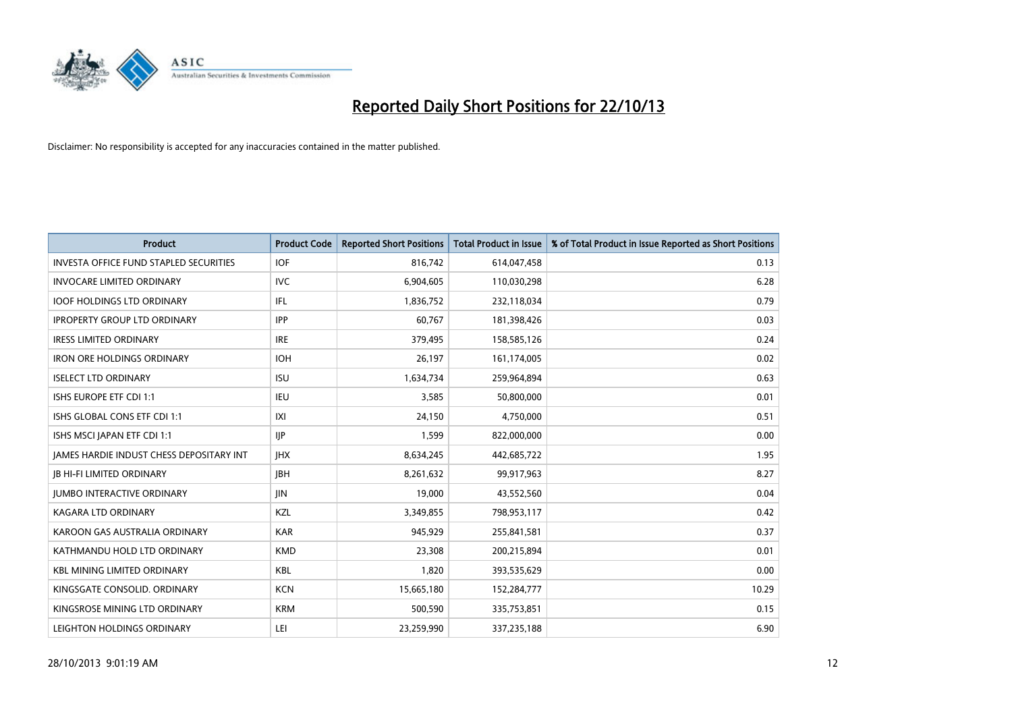

| <b>Product</b>                                  | <b>Product Code</b> | <b>Reported Short Positions</b> | <b>Total Product in Issue</b> | % of Total Product in Issue Reported as Short Positions |
|-------------------------------------------------|---------------------|---------------------------------|-------------------------------|---------------------------------------------------------|
| <b>INVESTA OFFICE FUND STAPLED SECURITIES</b>   | <b>IOF</b>          | 816,742                         | 614,047,458                   | 0.13                                                    |
| <b>INVOCARE LIMITED ORDINARY</b>                | <b>IVC</b>          | 6,904,605                       | 110,030,298                   | 6.28                                                    |
| <b>IOOF HOLDINGS LTD ORDINARY</b>               | IFL                 | 1,836,752                       | 232,118,034                   | 0.79                                                    |
| <b>IPROPERTY GROUP LTD ORDINARY</b>             | <b>IPP</b>          | 60,767                          | 181,398,426                   | 0.03                                                    |
| <b>IRESS LIMITED ORDINARY</b>                   | <b>IRE</b>          | 379,495                         | 158,585,126                   | 0.24                                                    |
| <b>IRON ORE HOLDINGS ORDINARY</b>               | <b>IOH</b>          | 26,197                          | 161,174,005                   | 0.02                                                    |
| <b>ISELECT LTD ORDINARY</b>                     | <b>ISU</b>          | 1,634,734                       | 259,964,894                   | 0.63                                                    |
| ISHS EUROPE ETF CDI 1:1                         | IEU                 | 3,585                           | 50,800,000                    | 0.01                                                    |
| ISHS GLOBAL CONS ETF CDI 1:1                    | X                   | 24,150                          | 4,750,000                     | 0.51                                                    |
| ISHS MSCI JAPAN ETF CDI 1:1                     | <b>IIP</b>          | 1,599                           | 822,000,000                   | 0.00                                                    |
| <b>JAMES HARDIE INDUST CHESS DEPOSITARY INT</b> | <b>IHX</b>          | 8,634,245                       | 442,685,722                   | 1.95                                                    |
| <b>IB HI-FI LIMITED ORDINARY</b>                | <b>IBH</b>          | 8,261,632                       | 99,917,963                    | 8.27                                                    |
| <b>JUMBO INTERACTIVE ORDINARY</b>               | <b>JIN</b>          | 19,000                          | 43,552,560                    | 0.04                                                    |
| <b>KAGARA LTD ORDINARY</b>                      | <b>KZL</b>          | 3,349,855                       | 798,953,117                   | 0.42                                                    |
| KAROON GAS AUSTRALIA ORDINARY                   | <b>KAR</b>          | 945,929                         | 255,841,581                   | 0.37                                                    |
| KATHMANDU HOLD LTD ORDINARY                     | <b>KMD</b>          | 23,308                          | 200,215,894                   | 0.01                                                    |
| <b>KBL MINING LIMITED ORDINARY</b>              | KBL                 | 1,820                           | 393,535,629                   | 0.00                                                    |
| KINGSGATE CONSOLID. ORDINARY                    | <b>KCN</b>          | 15,665,180                      | 152,284,777                   | 10.29                                                   |
| KINGSROSE MINING LTD ORDINARY                   | <b>KRM</b>          | 500,590                         | 335,753,851                   | 0.15                                                    |
| LEIGHTON HOLDINGS ORDINARY                      | LEI                 | 23,259,990                      | 337,235,188                   | 6.90                                                    |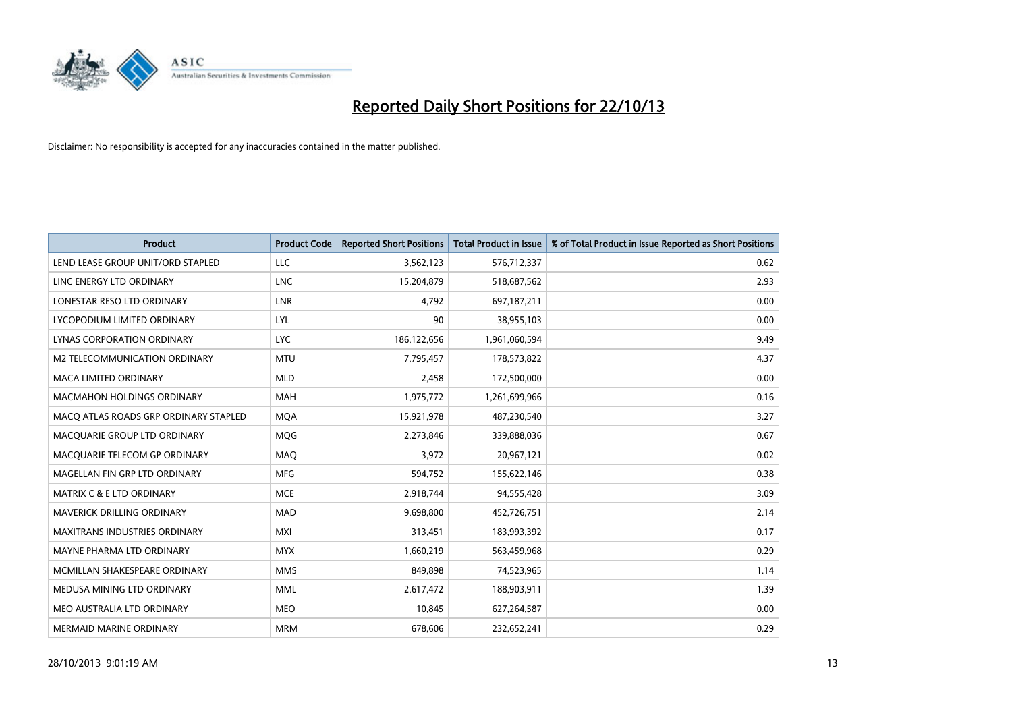

| <b>Product</b>                        | <b>Product Code</b> | <b>Reported Short Positions</b> | <b>Total Product in Issue</b> | % of Total Product in Issue Reported as Short Positions |
|---------------------------------------|---------------------|---------------------------------|-------------------------------|---------------------------------------------------------|
| LEND LEASE GROUP UNIT/ORD STAPLED     | <b>LLC</b>          | 3,562,123                       | 576,712,337                   | 0.62                                                    |
| LINC ENERGY LTD ORDINARY              | <b>LNC</b>          | 15,204,879                      | 518,687,562                   | 2.93                                                    |
| LONESTAR RESO LTD ORDINARY            | <b>LNR</b>          | 4.792                           | 697,187,211                   | 0.00                                                    |
| LYCOPODIUM LIMITED ORDINARY           | <b>LYL</b>          | 90                              | 38,955,103                    | 0.00                                                    |
| <b>LYNAS CORPORATION ORDINARY</b>     | <b>LYC</b>          | 186,122,656                     | 1,961,060,594                 | 9.49                                                    |
| <b>M2 TELECOMMUNICATION ORDINARY</b>  | <b>MTU</b>          | 7,795,457                       | 178,573,822                   | 4.37                                                    |
| <b>MACA LIMITED ORDINARY</b>          | <b>MLD</b>          | 2,458                           | 172,500,000                   | 0.00                                                    |
| MACMAHON HOLDINGS ORDINARY            | <b>MAH</b>          | 1,975,772                       | 1,261,699,966                 | 0.16                                                    |
| MACO ATLAS ROADS GRP ORDINARY STAPLED | <b>MOA</b>          | 15,921,978                      | 487,230,540                   | 3.27                                                    |
| MACQUARIE GROUP LTD ORDINARY          | <b>MOG</b>          | 2,273,846                       | 339,888,036                   | 0.67                                                    |
| MACQUARIE TELECOM GP ORDINARY         | MAQ                 | 3,972                           | 20,967,121                    | 0.02                                                    |
| MAGELLAN FIN GRP LTD ORDINARY         | <b>MFG</b>          | 594,752                         | 155,622,146                   | 0.38                                                    |
| <b>MATRIX C &amp; E LTD ORDINARY</b>  | <b>MCE</b>          | 2,918,744                       | 94,555,428                    | 3.09                                                    |
| <b>MAVERICK DRILLING ORDINARY</b>     | <b>MAD</b>          | 9,698,800                       | 452,726,751                   | 2.14                                                    |
| <b>MAXITRANS INDUSTRIES ORDINARY</b>  | <b>MXI</b>          | 313,451                         | 183,993,392                   | 0.17                                                    |
| MAYNE PHARMA LTD ORDINARY             | <b>MYX</b>          | 1,660,219                       | 563,459,968                   | 0.29                                                    |
| MCMILLAN SHAKESPEARE ORDINARY         | <b>MMS</b>          | 849,898                         | 74,523,965                    | 1.14                                                    |
| MEDUSA MINING LTD ORDINARY            | <b>MML</b>          | 2,617,472                       | 188,903,911                   | 1.39                                                    |
| MEO AUSTRALIA LTD ORDINARY            | <b>MEO</b>          | 10,845                          | 627,264,587                   | 0.00                                                    |
| MERMAID MARINE ORDINARY               | <b>MRM</b>          | 678,606                         | 232,652,241                   | 0.29                                                    |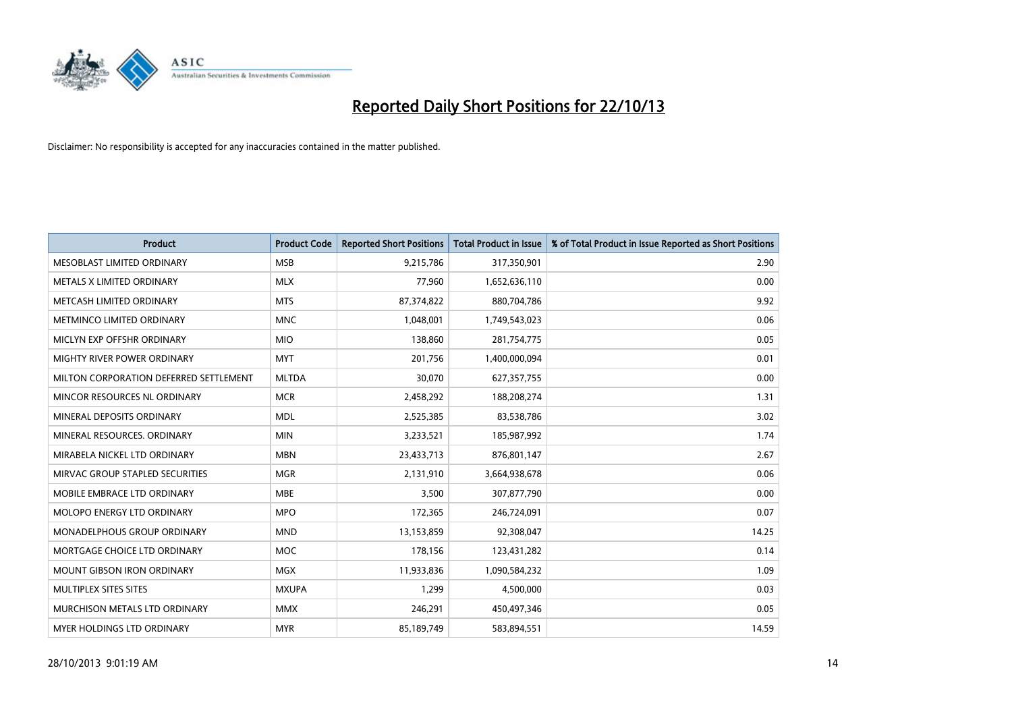

| <b>Product</b>                         | <b>Product Code</b> | <b>Reported Short Positions</b> | <b>Total Product in Issue</b> | % of Total Product in Issue Reported as Short Positions |
|----------------------------------------|---------------------|---------------------------------|-------------------------------|---------------------------------------------------------|
| MESOBLAST LIMITED ORDINARY             | <b>MSB</b>          | 9,215,786                       | 317,350,901                   | 2.90                                                    |
| METALS X LIMITED ORDINARY              | <b>MLX</b>          | 77,960                          | 1,652,636,110                 | 0.00                                                    |
| METCASH LIMITED ORDINARY               | <b>MTS</b>          | 87,374,822                      | 880,704,786                   | 9.92                                                    |
| METMINCO LIMITED ORDINARY              | <b>MNC</b>          | 1,048,001                       | 1,749,543,023                 | 0.06                                                    |
| MICLYN EXP OFFSHR ORDINARY             | <b>MIO</b>          | 138,860                         | 281,754,775                   | 0.05                                                    |
| MIGHTY RIVER POWER ORDINARY            | <b>MYT</b>          | 201,756                         | 1,400,000,094                 | 0.01                                                    |
| MILTON CORPORATION DEFERRED SETTLEMENT | <b>MLTDA</b>        | 30,070                          | 627,357,755                   | 0.00                                                    |
| MINCOR RESOURCES NL ORDINARY           | <b>MCR</b>          | 2,458,292                       | 188,208,274                   | 1.31                                                    |
| MINERAL DEPOSITS ORDINARY              | <b>MDL</b>          | 2,525,385                       | 83,538,786                    | 3.02                                                    |
| MINERAL RESOURCES, ORDINARY            | <b>MIN</b>          | 3,233,521                       | 185,987,992                   | 1.74                                                    |
| MIRABELA NICKEL LTD ORDINARY           | <b>MBN</b>          | 23,433,713                      | 876,801,147                   | 2.67                                                    |
| MIRVAC GROUP STAPLED SECURITIES        | <b>MGR</b>          | 2,131,910                       | 3,664,938,678                 | 0.06                                                    |
| MOBILE EMBRACE LTD ORDINARY            | <b>MBE</b>          | 3,500                           | 307,877,790                   | 0.00                                                    |
| MOLOPO ENERGY LTD ORDINARY             | <b>MPO</b>          | 172,365                         | 246,724,091                   | 0.07                                                    |
| MONADELPHOUS GROUP ORDINARY            | <b>MND</b>          | 13,153,859                      | 92,308,047                    | 14.25                                                   |
| MORTGAGE CHOICE LTD ORDINARY           | MOC                 | 178,156                         | 123,431,282                   | 0.14                                                    |
| MOUNT GIBSON IRON ORDINARY             | <b>MGX</b>          | 11,933,836                      | 1,090,584,232                 | 1.09                                                    |
| MULTIPLEX SITES SITES                  | <b>MXUPA</b>        | 1,299                           | 4,500,000                     | 0.03                                                    |
| MURCHISON METALS LTD ORDINARY          | <b>MMX</b>          | 246,291                         | 450,497,346                   | 0.05                                                    |
| MYER HOLDINGS LTD ORDINARY             | <b>MYR</b>          | 85,189,749                      | 583,894,551                   | 14.59                                                   |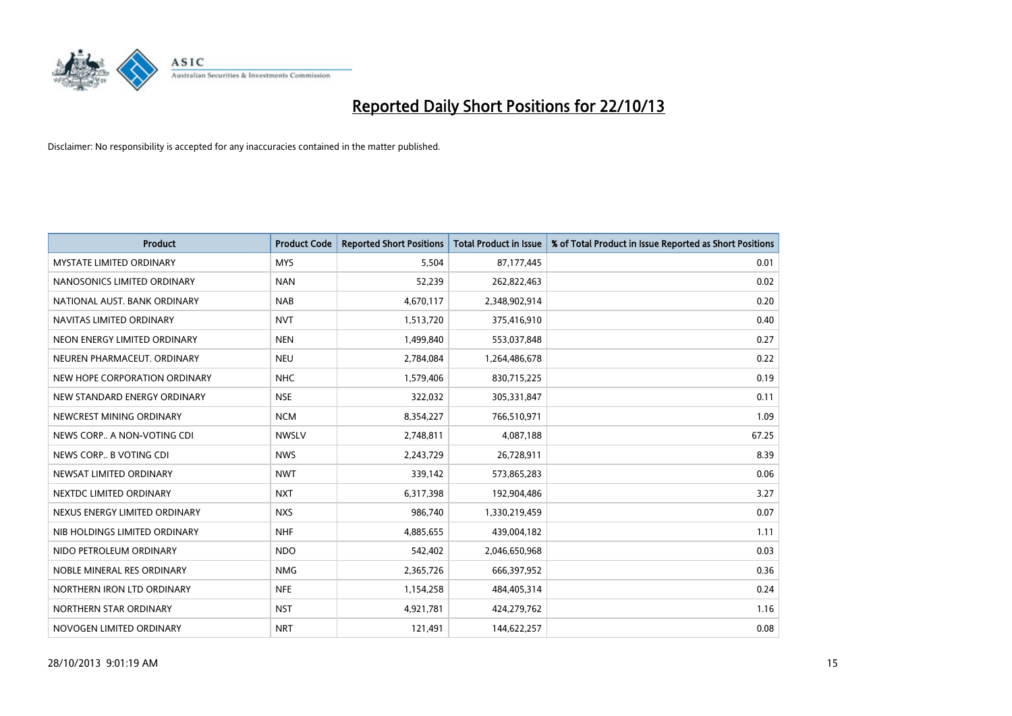

| <b>Product</b>                  | <b>Product Code</b> | <b>Reported Short Positions</b> | <b>Total Product in Issue</b> | % of Total Product in Issue Reported as Short Positions |
|---------------------------------|---------------------|---------------------------------|-------------------------------|---------------------------------------------------------|
| <b>MYSTATE LIMITED ORDINARY</b> | <b>MYS</b>          | 5,504                           | 87,177,445                    | 0.01                                                    |
| NANOSONICS LIMITED ORDINARY     | <b>NAN</b>          | 52,239                          | 262,822,463                   | 0.02                                                    |
| NATIONAL AUST. BANK ORDINARY    | <b>NAB</b>          | 4,670,117                       | 2,348,902,914                 | 0.20                                                    |
| NAVITAS LIMITED ORDINARY        | <b>NVT</b>          | 1,513,720                       | 375,416,910                   | 0.40                                                    |
| NEON ENERGY LIMITED ORDINARY    | <b>NEN</b>          | 1,499,840                       | 553,037,848                   | 0.27                                                    |
| NEUREN PHARMACEUT, ORDINARY     | <b>NEU</b>          | 2,784,084                       | 1,264,486,678                 | 0.22                                                    |
| NEW HOPE CORPORATION ORDINARY   | <b>NHC</b>          | 1,579,406                       | 830,715,225                   | 0.19                                                    |
| NEW STANDARD ENERGY ORDINARY    | <b>NSE</b>          | 322,032                         | 305,331,847                   | 0.11                                                    |
| NEWCREST MINING ORDINARY        | <b>NCM</b>          | 8,354,227                       | 766,510,971                   | 1.09                                                    |
| NEWS CORP A NON-VOTING CDI      | <b>NWSLV</b>        | 2,748,811                       | 4,087,188                     | 67.25                                                   |
| NEWS CORP B VOTING CDI          | <b>NWS</b>          | 2,243,729                       | 26,728,911                    | 8.39                                                    |
| NEWSAT LIMITED ORDINARY         | <b>NWT</b>          | 339,142                         | 573,865,283                   | 0.06                                                    |
| NEXTDC LIMITED ORDINARY         | <b>NXT</b>          | 6,317,398                       | 192,904,486                   | 3.27                                                    |
| NEXUS ENERGY LIMITED ORDINARY   | <b>NXS</b>          | 986,740                         | 1,330,219,459                 | 0.07                                                    |
| NIB HOLDINGS LIMITED ORDINARY   | <b>NHF</b>          | 4,885,655                       | 439,004,182                   | 1.11                                                    |
| NIDO PETROLEUM ORDINARY         | <b>NDO</b>          | 542,402                         | 2,046,650,968                 | 0.03                                                    |
| NOBLE MINERAL RES ORDINARY      | <b>NMG</b>          | 2,365,726                       | 666,397,952                   | 0.36                                                    |
| NORTHERN IRON LTD ORDINARY      | <b>NFE</b>          | 1,154,258                       | 484,405,314                   | 0.24                                                    |
| NORTHERN STAR ORDINARY          | <b>NST</b>          | 4,921,781                       | 424,279,762                   | 1.16                                                    |
| NOVOGEN LIMITED ORDINARY        | <b>NRT</b>          | 121,491                         | 144,622,257                   | 0.08                                                    |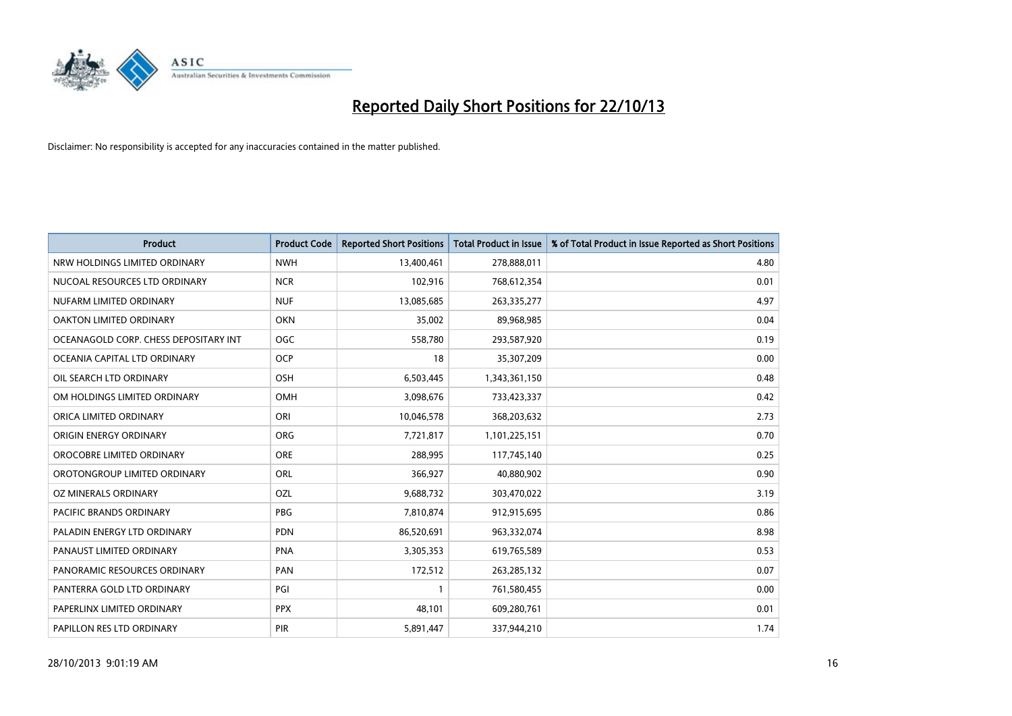

| <b>Product</b>                        | <b>Product Code</b> | <b>Reported Short Positions</b> | <b>Total Product in Issue</b> | % of Total Product in Issue Reported as Short Positions |
|---------------------------------------|---------------------|---------------------------------|-------------------------------|---------------------------------------------------------|
| NRW HOLDINGS LIMITED ORDINARY         | <b>NWH</b>          | 13,400,461                      | 278,888,011                   | 4.80                                                    |
| NUCOAL RESOURCES LTD ORDINARY         | <b>NCR</b>          | 102,916                         | 768,612,354                   | 0.01                                                    |
| NUFARM LIMITED ORDINARY               | <b>NUF</b>          | 13,085,685                      | 263,335,277                   | 4.97                                                    |
| OAKTON LIMITED ORDINARY               | <b>OKN</b>          | 35,002                          | 89,968,985                    | 0.04                                                    |
| OCEANAGOLD CORP. CHESS DEPOSITARY INT | <b>OGC</b>          | 558,780                         | 293,587,920                   | 0.19                                                    |
| OCEANIA CAPITAL LTD ORDINARY          | <b>OCP</b>          | 18                              | 35,307,209                    | 0.00                                                    |
| OIL SEARCH LTD ORDINARY               | OSH                 | 6,503,445                       | 1,343,361,150                 | 0.48                                                    |
| OM HOLDINGS LIMITED ORDINARY          | OMH                 | 3,098,676                       | 733,423,337                   | 0.42                                                    |
| ORICA LIMITED ORDINARY                | ORI                 | 10,046,578                      | 368,203,632                   | 2.73                                                    |
| ORIGIN ENERGY ORDINARY                | <b>ORG</b>          | 7,721,817                       | 1,101,225,151                 | 0.70                                                    |
| OROCOBRE LIMITED ORDINARY             | <b>ORE</b>          | 288,995                         | 117,745,140                   | 0.25                                                    |
| OROTONGROUP LIMITED ORDINARY          | ORL                 | 366,927                         | 40,880,902                    | 0.90                                                    |
| OZ MINERALS ORDINARY                  | OZL                 | 9,688,732                       | 303,470,022                   | 3.19                                                    |
| <b>PACIFIC BRANDS ORDINARY</b>        | <b>PBG</b>          | 7,810,874                       | 912,915,695                   | 0.86                                                    |
| PALADIN ENERGY LTD ORDINARY           | <b>PDN</b>          | 86,520,691                      | 963,332,074                   | 8.98                                                    |
| PANAUST LIMITED ORDINARY              | <b>PNA</b>          | 3,305,353                       | 619,765,589                   | 0.53                                                    |
| PANORAMIC RESOURCES ORDINARY          | PAN                 | 172,512                         | 263,285,132                   | 0.07                                                    |
| PANTERRA GOLD LTD ORDINARY            | PGI                 |                                 | 761,580,455                   | 0.00                                                    |
| PAPERLINX LIMITED ORDINARY            | <b>PPX</b>          | 48,101                          | 609,280,761                   | 0.01                                                    |
| PAPILLON RES LTD ORDINARY             | <b>PIR</b>          | 5,891,447                       | 337,944,210                   | 1.74                                                    |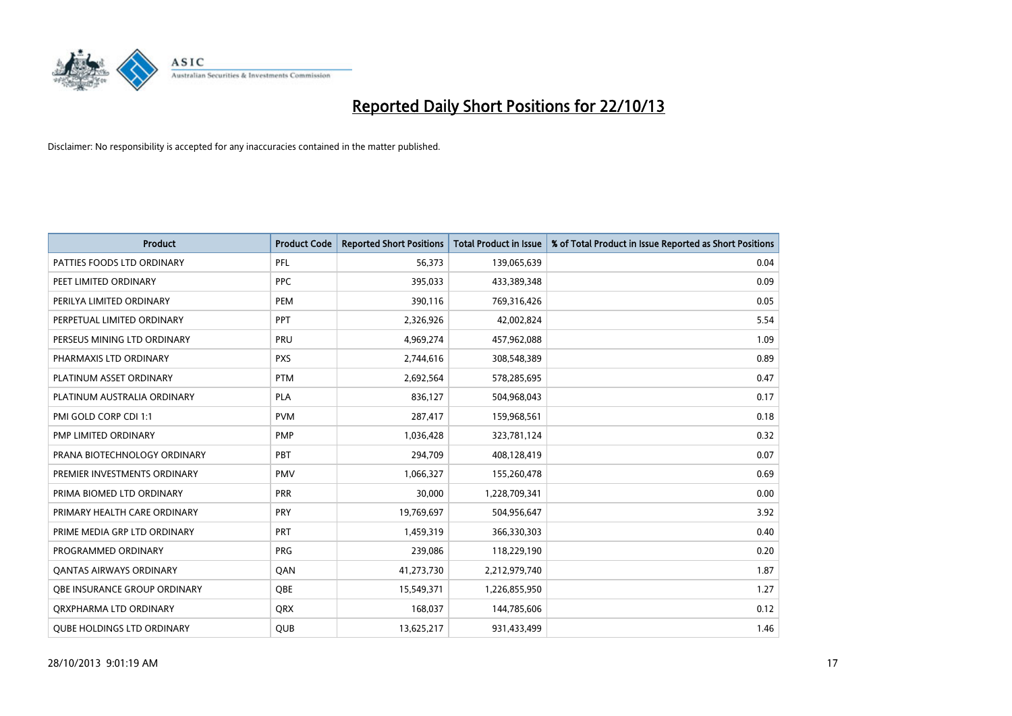

| <b>Product</b>                      | <b>Product Code</b> | <b>Reported Short Positions</b> | <b>Total Product in Issue</b> | % of Total Product in Issue Reported as Short Positions |
|-------------------------------------|---------------------|---------------------------------|-------------------------------|---------------------------------------------------------|
| PATTIES FOODS LTD ORDINARY          | PFL                 | 56,373                          | 139,065,639                   | 0.04                                                    |
| PEET LIMITED ORDINARY               | <b>PPC</b>          | 395,033                         | 433,389,348                   | 0.09                                                    |
| PERILYA LIMITED ORDINARY            | <b>PEM</b>          | 390,116                         | 769,316,426                   | 0.05                                                    |
| PERPETUAL LIMITED ORDINARY          | PPT                 | 2,326,926                       | 42,002,824                    | 5.54                                                    |
| PERSEUS MINING LTD ORDINARY         | PRU                 | 4,969,274                       | 457,962,088                   | 1.09                                                    |
| PHARMAXIS LTD ORDINARY              | <b>PXS</b>          | 2,744,616                       | 308,548,389                   | 0.89                                                    |
| PLATINUM ASSET ORDINARY             | <b>PTM</b>          | 2,692,564                       | 578,285,695                   | 0.47                                                    |
| PLATINUM AUSTRALIA ORDINARY         | PLA                 | 836,127                         | 504,968,043                   | 0.17                                                    |
| PMI GOLD CORP CDI 1:1               | <b>PVM</b>          | 287,417                         | 159,968,561                   | 0.18                                                    |
| <b>PMP LIMITED ORDINARY</b>         | <b>PMP</b>          | 1,036,428                       | 323,781,124                   | 0.32                                                    |
| PRANA BIOTECHNOLOGY ORDINARY        | PBT                 | 294,709                         | 408,128,419                   | 0.07                                                    |
| PREMIER INVESTMENTS ORDINARY        | <b>PMV</b>          | 1,066,327                       | 155,260,478                   | 0.69                                                    |
| PRIMA BIOMED LTD ORDINARY           | <b>PRR</b>          | 30,000                          | 1,228,709,341                 | 0.00                                                    |
| PRIMARY HEALTH CARE ORDINARY        | <b>PRY</b>          | 19,769,697                      | 504,956,647                   | 3.92                                                    |
| PRIME MEDIA GRP LTD ORDINARY        | <b>PRT</b>          | 1,459,319                       | 366,330,303                   | 0.40                                                    |
| PROGRAMMED ORDINARY                 | <b>PRG</b>          | 239,086                         | 118,229,190                   | 0.20                                                    |
| <b>QANTAS AIRWAYS ORDINARY</b>      | QAN                 | 41,273,730                      | 2,212,979,740                 | 1.87                                                    |
| <b>OBE INSURANCE GROUP ORDINARY</b> | QBE                 | 15,549,371                      | 1,226,855,950                 | 1.27                                                    |
| ORXPHARMA LTD ORDINARY              | <b>QRX</b>          | 168,037                         | 144,785,606                   | 0.12                                                    |
| <b>QUBE HOLDINGS LTD ORDINARY</b>   | <b>QUB</b>          | 13,625,217                      | 931,433,499                   | 1.46                                                    |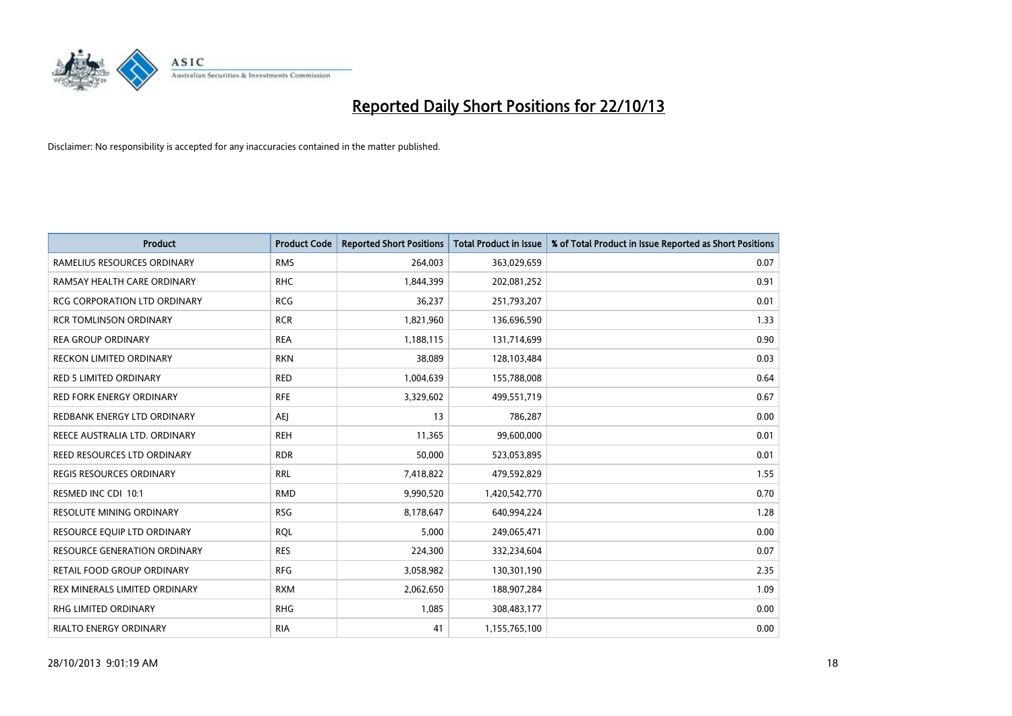

| <b>Product</b>                      | <b>Product Code</b> | <b>Reported Short Positions</b> | <b>Total Product in Issue</b> | % of Total Product in Issue Reported as Short Positions |
|-------------------------------------|---------------------|---------------------------------|-------------------------------|---------------------------------------------------------|
| RAMELIUS RESOURCES ORDINARY         | <b>RMS</b>          | 264,003                         | 363,029,659                   | 0.07                                                    |
| RAMSAY HEALTH CARE ORDINARY         | <b>RHC</b>          | 1,844,399                       | 202,081,252                   | 0.91                                                    |
| <b>RCG CORPORATION LTD ORDINARY</b> | <b>RCG</b>          | 36,237                          | 251,793,207                   | 0.01                                                    |
| <b>RCR TOMLINSON ORDINARY</b>       | <b>RCR</b>          | 1,821,960                       | 136,696,590                   | 1.33                                                    |
| <b>REA GROUP ORDINARY</b>           | <b>REA</b>          | 1,188,115                       | 131,714,699                   | 0.90                                                    |
| <b>RECKON LIMITED ORDINARY</b>      | <b>RKN</b>          | 38,089                          | 128,103,484                   | 0.03                                                    |
| <b>RED 5 LIMITED ORDINARY</b>       | <b>RED</b>          | 1,004,639                       | 155,788,008                   | 0.64                                                    |
| RED FORK ENERGY ORDINARY            | <b>RFE</b>          | 3,329,602                       | 499,551,719                   | 0.67                                                    |
| REDBANK ENERGY LTD ORDINARY         | AEJ                 | 13                              | 786,287                       | 0.00                                                    |
| REECE AUSTRALIA LTD. ORDINARY       | <b>REH</b>          | 11,365                          | 99,600,000                    | 0.01                                                    |
| REED RESOURCES LTD ORDINARY         | <b>RDR</b>          | 50,000                          | 523,053,895                   | 0.01                                                    |
| REGIS RESOURCES ORDINARY            | <b>RRL</b>          | 7,418,822                       | 479,592,829                   | 1.55                                                    |
| RESMED INC CDI 10:1                 | <b>RMD</b>          | 9,990,520                       | 1,420,542,770                 | 0.70                                                    |
| <b>RESOLUTE MINING ORDINARY</b>     | <b>RSG</b>          | 8,178,647                       | 640,994,224                   | 1.28                                                    |
| RESOURCE EQUIP LTD ORDINARY         | <b>RQL</b>          | 5,000                           | 249,065,471                   | 0.00                                                    |
| <b>RESOURCE GENERATION ORDINARY</b> | <b>RES</b>          | 224,300                         | 332,234,604                   | 0.07                                                    |
| RETAIL FOOD GROUP ORDINARY          | <b>RFG</b>          | 3,058,982                       | 130,301,190                   | 2.35                                                    |
| REX MINERALS LIMITED ORDINARY       | <b>RXM</b>          | 2,062,650                       | 188,907,284                   | 1.09                                                    |
| RHG LIMITED ORDINARY                | <b>RHG</b>          | 1,085                           | 308,483,177                   | 0.00                                                    |
| <b>RIALTO ENERGY ORDINARY</b>       | <b>RIA</b>          | 41                              | 1,155,765,100                 | 0.00                                                    |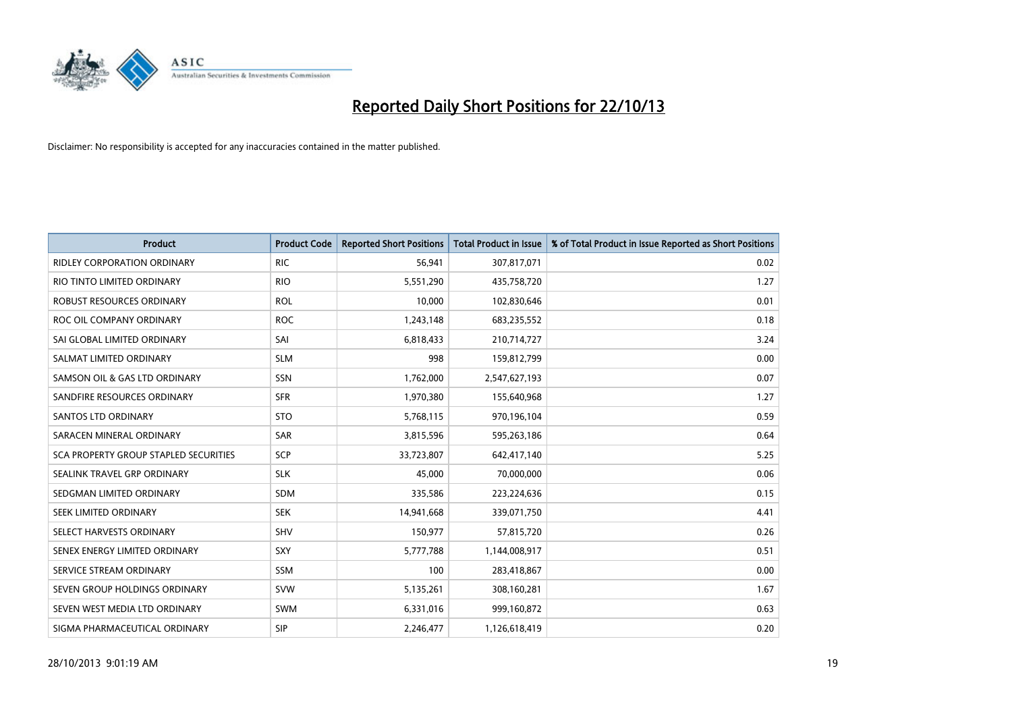

| <b>Product</b>                        | <b>Product Code</b> | <b>Reported Short Positions</b> | <b>Total Product in Issue</b> | % of Total Product in Issue Reported as Short Positions |
|---------------------------------------|---------------------|---------------------------------|-------------------------------|---------------------------------------------------------|
| <b>RIDLEY CORPORATION ORDINARY</b>    | <b>RIC</b>          | 56,941                          | 307,817,071                   | 0.02                                                    |
| RIO TINTO LIMITED ORDINARY            | <b>RIO</b>          | 5,551,290                       | 435,758,720                   | 1.27                                                    |
| ROBUST RESOURCES ORDINARY             | <b>ROL</b>          | 10,000                          | 102,830,646                   | 0.01                                                    |
| ROC OIL COMPANY ORDINARY              | <b>ROC</b>          | 1,243,148                       | 683,235,552                   | 0.18                                                    |
| SAI GLOBAL LIMITED ORDINARY           | SAI                 | 6,818,433                       | 210,714,727                   | 3.24                                                    |
| SALMAT LIMITED ORDINARY               | <b>SLM</b>          | 998                             | 159,812,799                   | 0.00                                                    |
| SAMSON OIL & GAS LTD ORDINARY         | SSN                 | 1,762,000                       | 2,547,627,193                 | 0.07                                                    |
| SANDFIRE RESOURCES ORDINARY           | <b>SFR</b>          | 1,970,380                       | 155,640,968                   | 1.27                                                    |
| <b>SANTOS LTD ORDINARY</b>            | <b>STO</b>          | 5,768,115                       | 970,196,104                   | 0.59                                                    |
| SARACEN MINERAL ORDINARY              | <b>SAR</b>          | 3,815,596                       | 595,263,186                   | 0.64                                                    |
| SCA PROPERTY GROUP STAPLED SECURITIES | SCP                 | 33,723,807                      | 642,417,140                   | 5.25                                                    |
| SEALINK TRAVEL GRP ORDINARY           | <b>SLK</b>          | 45,000                          | 70,000,000                    | 0.06                                                    |
| SEDGMAN LIMITED ORDINARY              | SDM                 | 335,586                         | 223,224,636                   | 0.15                                                    |
| SEEK LIMITED ORDINARY                 | <b>SEK</b>          | 14,941,668                      | 339,071,750                   | 4.41                                                    |
| SELECT HARVESTS ORDINARY              | SHV                 | 150,977                         | 57,815,720                    | 0.26                                                    |
| SENEX ENERGY LIMITED ORDINARY         | SXY                 | 5,777,788                       | 1,144,008,917                 | 0.51                                                    |
| SERVICE STREAM ORDINARY               | SSM                 | 100                             | 283,418,867                   | 0.00                                                    |
| SEVEN GROUP HOLDINGS ORDINARY         | <b>SVW</b>          | 5,135,261                       | 308,160,281                   | 1.67                                                    |
| SEVEN WEST MEDIA LTD ORDINARY         | <b>SWM</b>          | 6,331,016                       | 999,160,872                   | 0.63                                                    |
| SIGMA PHARMACEUTICAL ORDINARY         | <b>SIP</b>          | 2,246,477                       | 1,126,618,419                 | 0.20                                                    |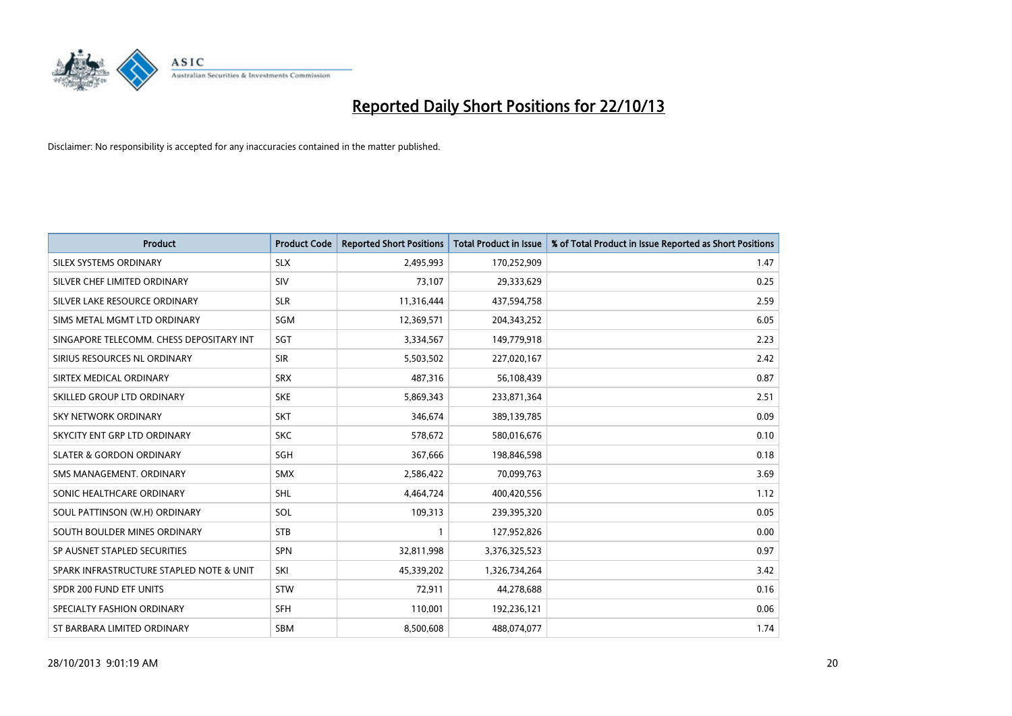

| <b>Product</b>                           | <b>Product Code</b> | <b>Reported Short Positions</b> | <b>Total Product in Issue</b> | % of Total Product in Issue Reported as Short Positions |
|------------------------------------------|---------------------|---------------------------------|-------------------------------|---------------------------------------------------------|
| SILEX SYSTEMS ORDINARY                   | <b>SLX</b>          | 2,495,993                       | 170,252,909                   | 1.47                                                    |
| SILVER CHEF LIMITED ORDINARY             | <b>SIV</b>          | 73.107                          | 29,333,629                    | 0.25                                                    |
| SILVER LAKE RESOURCE ORDINARY            | <b>SLR</b>          | 11,316,444                      | 437,594,758                   | 2.59                                                    |
| SIMS METAL MGMT LTD ORDINARY             | <b>SGM</b>          | 12,369,571                      | 204,343,252                   | 6.05                                                    |
| SINGAPORE TELECOMM. CHESS DEPOSITARY INT | SGT                 | 3,334,567                       | 149,779,918                   | 2.23                                                    |
| SIRIUS RESOURCES NL ORDINARY             | <b>SIR</b>          | 5,503,502                       | 227,020,167                   | 2.42                                                    |
| SIRTEX MEDICAL ORDINARY                  | <b>SRX</b>          | 487,316                         | 56,108,439                    | 0.87                                                    |
| SKILLED GROUP LTD ORDINARY               | <b>SKE</b>          | 5,869,343                       | 233,871,364                   | 2.51                                                    |
| <b>SKY NETWORK ORDINARY</b>              | <b>SKT</b>          | 346,674                         | 389,139,785                   | 0.09                                                    |
| SKYCITY ENT GRP LTD ORDINARY             | <b>SKC</b>          | 578,672                         | 580,016,676                   | 0.10                                                    |
| <b>SLATER &amp; GORDON ORDINARY</b>      | SGH                 | 367,666                         | 198,846,598                   | 0.18                                                    |
| SMS MANAGEMENT, ORDINARY                 | <b>SMX</b>          | 2,586,422                       | 70,099,763                    | 3.69                                                    |
| SONIC HEALTHCARE ORDINARY                | <b>SHL</b>          | 4,464,724                       | 400,420,556                   | 1.12                                                    |
| SOUL PATTINSON (W.H) ORDINARY            | SOL                 | 109,313                         | 239,395,320                   | 0.05                                                    |
| SOUTH BOULDER MINES ORDINARY             | <b>STB</b>          | 1                               | 127,952,826                   | 0.00                                                    |
| SP AUSNET STAPLED SECURITIES             | SPN                 | 32,811,998                      | 3,376,325,523                 | 0.97                                                    |
| SPARK INFRASTRUCTURE STAPLED NOTE & UNIT | SKI                 | 45,339,202                      | 1,326,734,264                 | 3.42                                                    |
| SPDR 200 FUND ETF UNITS                  | <b>STW</b>          | 72,911                          | 44,278,688                    | 0.16                                                    |
| SPECIALTY FASHION ORDINARY               | <b>SFH</b>          | 110,001                         | 192,236,121                   | 0.06                                                    |
| ST BARBARA LIMITED ORDINARY              | <b>SBM</b>          | 8,500,608                       | 488,074,077                   | 1.74                                                    |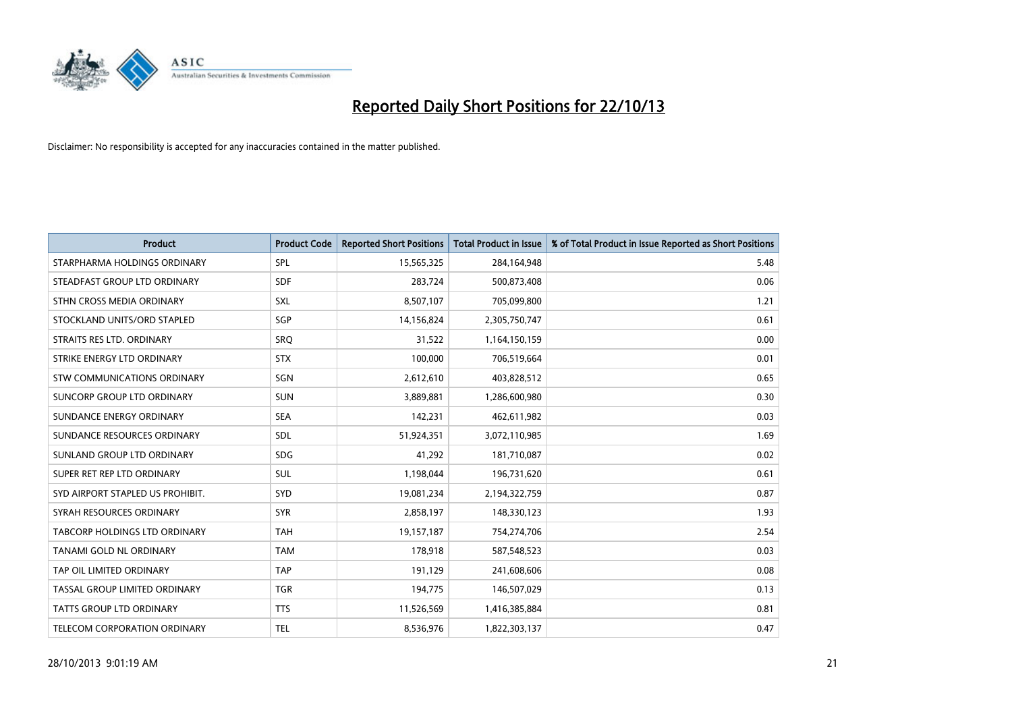

| <b>Product</b>                   | <b>Product Code</b> | <b>Reported Short Positions</b> | <b>Total Product in Issue</b> | % of Total Product in Issue Reported as Short Positions |
|----------------------------------|---------------------|---------------------------------|-------------------------------|---------------------------------------------------------|
| STARPHARMA HOLDINGS ORDINARY     | <b>SPL</b>          | 15,565,325                      | 284,164,948                   | 5.48                                                    |
| STEADFAST GROUP LTD ORDINARY     | <b>SDF</b>          | 283,724                         | 500,873,408                   | 0.06                                                    |
| STHN CROSS MEDIA ORDINARY        | <b>SXL</b>          | 8,507,107                       | 705,099,800                   | 1.21                                                    |
| STOCKLAND UNITS/ORD STAPLED      | SGP                 | 14,156,824                      | 2,305,750,747                 | 0.61                                                    |
| STRAITS RES LTD. ORDINARY        | SRO                 | 31,522                          | 1,164,150,159                 | 0.00                                                    |
| STRIKE ENERGY LTD ORDINARY       | <b>STX</b>          | 100,000                         | 706,519,664                   | 0.01                                                    |
| STW COMMUNICATIONS ORDINARY      | <b>SGN</b>          | 2,612,610                       | 403,828,512                   | 0.65                                                    |
| SUNCORP GROUP LTD ORDINARY       | <b>SUN</b>          | 3,889,881                       | 1,286,600,980                 | 0.30                                                    |
| SUNDANCE ENERGY ORDINARY         | <b>SEA</b>          | 142,231                         | 462,611,982                   | 0.03                                                    |
| SUNDANCE RESOURCES ORDINARY      | <b>SDL</b>          | 51,924,351                      | 3,072,110,985                 | 1.69                                                    |
| SUNLAND GROUP LTD ORDINARY       | <b>SDG</b>          | 41,292                          | 181,710,087                   | 0.02                                                    |
| SUPER RET REP LTD ORDINARY       | <b>SUL</b>          | 1,198,044                       | 196,731,620                   | 0.61                                                    |
| SYD AIRPORT STAPLED US PROHIBIT. | <b>SYD</b>          | 19,081,234                      | 2,194,322,759                 | 0.87                                                    |
| SYRAH RESOURCES ORDINARY         | <b>SYR</b>          | 2,858,197                       | 148,330,123                   | 1.93                                                    |
| TABCORP HOLDINGS LTD ORDINARY    | <b>TAH</b>          | 19,157,187                      | 754,274,706                   | 2.54                                                    |
| TANAMI GOLD NL ORDINARY          | <b>TAM</b>          | 178,918                         | 587,548,523                   | 0.03                                                    |
| TAP OIL LIMITED ORDINARY         | <b>TAP</b>          | 191,129                         | 241,608,606                   | 0.08                                                    |
| TASSAL GROUP LIMITED ORDINARY    | <b>TGR</b>          | 194,775                         | 146,507,029                   | 0.13                                                    |
| <b>TATTS GROUP LTD ORDINARY</b>  | <b>TTS</b>          | 11,526,569                      | 1,416,385,884                 | 0.81                                                    |
| TELECOM CORPORATION ORDINARY     | <b>TEL</b>          | 8,536,976                       | 1,822,303,137                 | 0.47                                                    |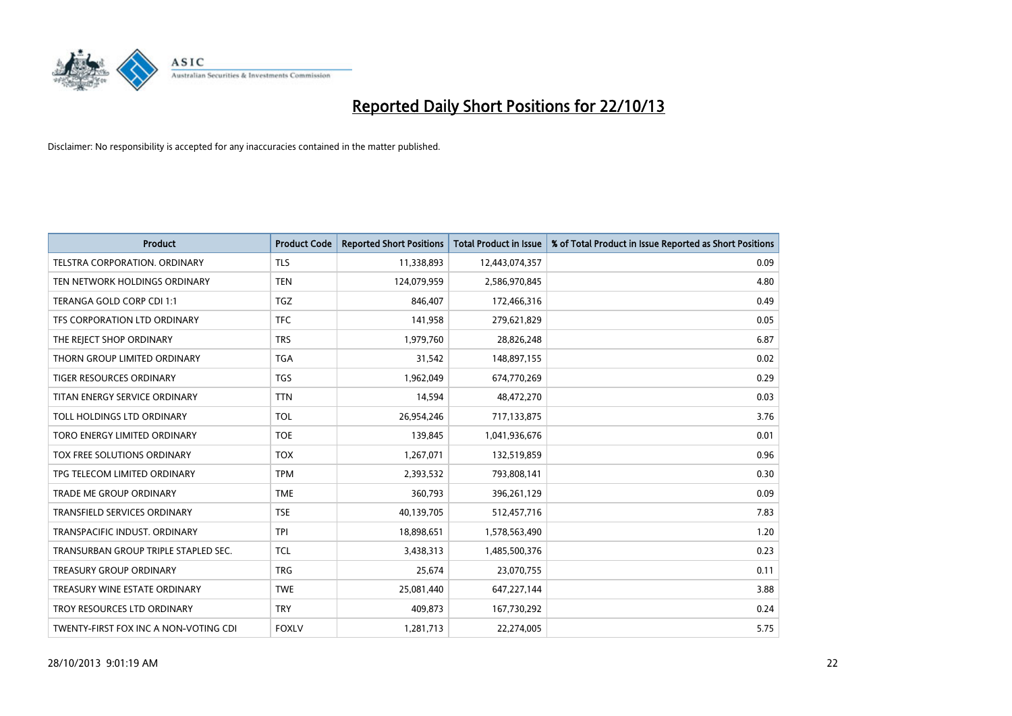

| <b>Product</b>                        | <b>Product Code</b> | <b>Reported Short Positions</b> | <b>Total Product in Issue</b> | % of Total Product in Issue Reported as Short Positions |
|---------------------------------------|---------------------|---------------------------------|-------------------------------|---------------------------------------------------------|
| <b>TELSTRA CORPORATION, ORDINARY</b>  | <b>TLS</b>          | 11,338,893                      | 12,443,074,357                | 0.09                                                    |
| TEN NETWORK HOLDINGS ORDINARY         | <b>TEN</b>          | 124,079,959                     | 2,586,970,845                 | 4.80                                                    |
| TERANGA GOLD CORP CDI 1:1             | <b>TGZ</b>          | 846,407                         | 172,466,316                   | 0.49                                                    |
| TFS CORPORATION LTD ORDINARY          | <b>TFC</b>          | 141,958                         | 279,621,829                   | 0.05                                                    |
| THE REJECT SHOP ORDINARY              | <b>TRS</b>          | 1,979,760                       | 28,826,248                    | 6.87                                                    |
| THORN GROUP LIMITED ORDINARY          | <b>TGA</b>          | 31,542                          | 148,897,155                   | 0.02                                                    |
| TIGER RESOURCES ORDINARY              | <b>TGS</b>          | 1,962,049                       | 674,770,269                   | 0.29                                                    |
| TITAN ENERGY SERVICE ORDINARY         | <b>TTN</b>          | 14,594                          | 48,472,270                    | 0.03                                                    |
| TOLL HOLDINGS LTD ORDINARY            | <b>TOL</b>          | 26,954,246                      | 717,133,875                   | 3.76                                                    |
| TORO ENERGY LIMITED ORDINARY          | <b>TOE</b>          | 139,845                         | 1,041,936,676                 | 0.01                                                    |
| TOX FREE SOLUTIONS ORDINARY           | <b>TOX</b>          | 1,267,071                       | 132,519,859                   | 0.96                                                    |
| TPG TELECOM LIMITED ORDINARY          | <b>TPM</b>          | 2,393,532                       | 793,808,141                   | 0.30                                                    |
| <b>TRADE ME GROUP ORDINARY</b>        | <b>TME</b>          | 360,793                         | 396,261,129                   | 0.09                                                    |
| <b>TRANSFIELD SERVICES ORDINARY</b>   | <b>TSE</b>          | 40,139,705                      | 512,457,716                   | 7.83                                                    |
| TRANSPACIFIC INDUST, ORDINARY         | <b>TPI</b>          | 18,898,651                      | 1,578,563,490                 | 1.20                                                    |
| TRANSURBAN GROUP TRIPLE STAPLED SEC.  | <b>TCL</b>          | 3,438,313                       | 1,485,500,376                 | 0.23                                                    |
| <b>TREASURY GROUP ORDINARY</b>        | <b>TRG</b>          | 25,674                          | 23,070,755                    | 0.11                                                    |
| TREASURY WINE ESTATE ORDINARY         | <b>TWE</b>          | 25,081,440                      | 647,227,144                   | 3.88                                                    |
| TROY RESOURCES LTD ORDINARY           | <b>TRY</b>          | 409,873                         | 167,730,292                   | 0.24                                                    |
| TWENTY-FIRST FOX INC A NON-VOTING CDI | <b>FOXLV</b>        | 1,281,713                       | 22,274,005                    | 5.75                                                    |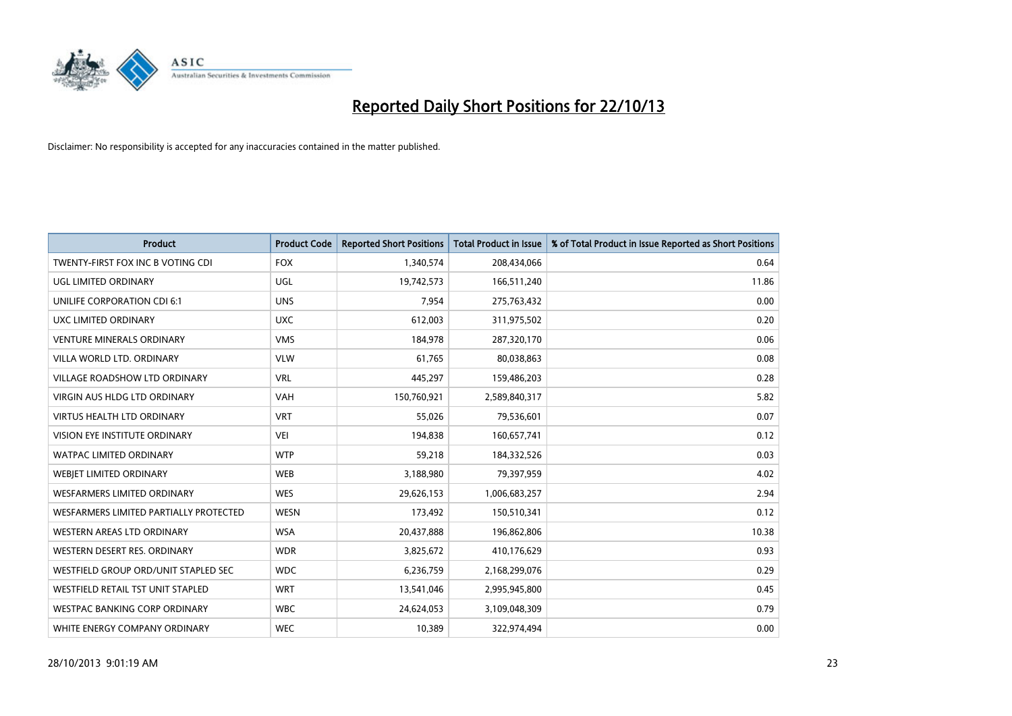

| <b>Product</b>                         | <b>Product Code</b> | <b>Reported Short Positions</b> | <b>Total Product in Issue</b> | % of Total Product in Issue Reported as Short Positions |
|----------------------------------------|---------------------|---------------------------------|-------------------------------|---------------------------------------------------------|
| TWENTY-FIRST FOX INC B VOTING CDI      | <b>FOX</b>          | 1,340,574                       | 208,434,066                   | 0.64                                                    |
| UGL LIMITED ORDINARY                   | UGL                 | 19,742,573                      | 166,511,240                   | 11.86                                                   |
| UNILIFE CORPORATION CDI 6:1            | <b>UNS</b>          | 7,954                           | 275,763,432                   | 0.00                                                    |
| UXC LIMITED ORDINARY                   | <b>UXC</b>          | 612,003                         | 311,975,502                   | 0.20                                                    |
| <b>VENTURE MINERALS ORDINARY</b>       | <b>VMS</b>          | 184,978                         | 287,320,170                   | 0.06                                                    |
| VILLA WORLD LTD, ORDINARY              | <b>VLW</b>          | 61,765                          | 80,038,863                    | 0.08                                                    |
| <b>VILLAGE ROADSHOW LTD ORDINARY</b>   | <b>VRL</b>          | 445,297                         | 159,486,203                   | 0.28                                                    |
| <b>VIRGIN AUS HLDG LTD ORDINARY</b>    | <b>VAH</b>          | 150,760,921                     | 2,589,840,317                 | 5.82                                                    |
| <b>VIRTUS HEALTH LTD ORDINARY</b>      | <b>VRT</b>          | 55,026                          | 79,536,601                    | 0.07                                                    |
| VISION EYE INSTITUTE ORDINARY          | <b>VEI</b>          | 194,838                         | 160,657,741                   | 0.12                                                    |
| WATPAC LIMITED ORDINARY                | <b>WTP</b>          | 59,218                          | 184,332,526                   | 0.03                                                    |
| WEBIET LIMITED ORDINARY                | <b>WEB</b>          | 3,188,980                       | 79,397,959                    | 4.02                                                    |
| WESFARMERS LIMITED ORDINARY            | <b>WES</b>          | 29,626,153                      | 1,006,683,257                 | 2.94                                                    |
| WESFARMERS LIMITED PARTIALLY PROTECTED | <b>WESN</b>         | 173,492                         | 150,510,341                   | 0.12                                                    |
| WESTERN AREAS LTD ORDINARY             | <b>WSA</b>          | 20,437,888                      | 196,862,806                   | 10.38                                                   |
| WESTERN DESERT RES. ORDINARY           | <b>WDR</b>          | 3,825,672                       | 410,176,629                   | 0.93                                                    |
| WESTFIELD GROUP ORD/UNIT STAPLED SEC   | <b>WDC</b>          | 6,236,759                       | 2,168,299,076                 | 0.29                                                    |
| WESTFIELD RETAIL TST UNIT STAPLED      | <b>WRT</b>          | 13,541,046                      | 2,995,945,800                 | 0.45                                                    |
| WESTPAC BANKING CORP ORDINARY          | <b>WBC</b>          | 24,624,053                      | 3,109,048,309                 | 0.79                                                    |
| WHITE ENERGY COMPANY ORDINARY          | <b>WEC</b>          | 10,389                          | 322,974,494                   | 0.00                                                    |